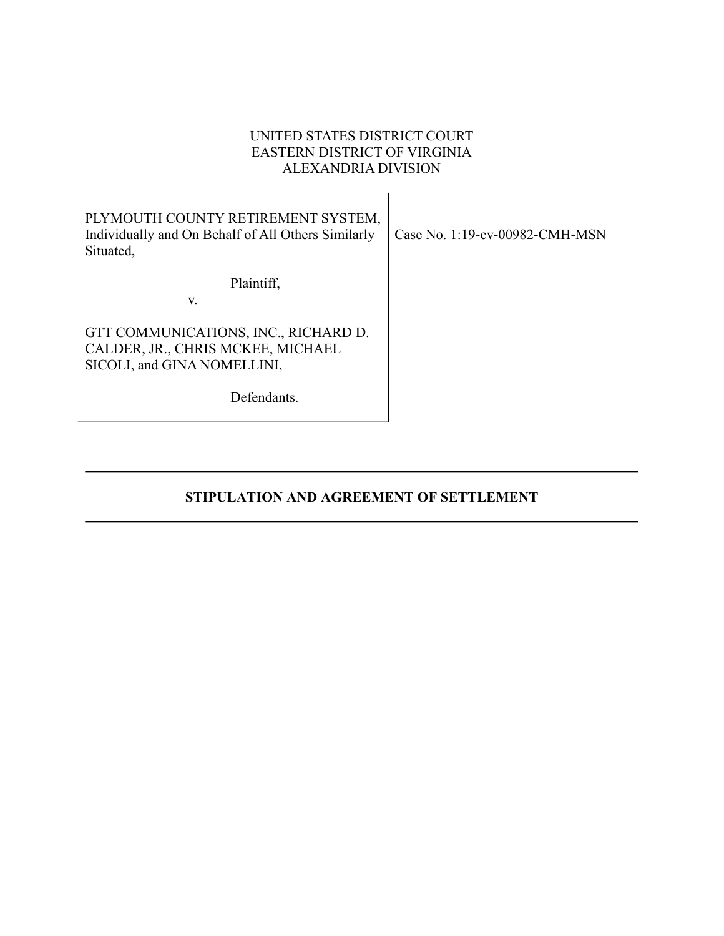# UNITED STATES DISTRICT COURT EASTERN DISTRICT OF VIRGINIA ALEXANDRIA DIVISION

| PLYMOUTH COUNTY RETIREMENT SYSTEM,<br>Individually and On Behalf of All Others Similarly<br>Case No. 1:19-cv-00982-CMH-MSN<br>Situated, |
|-----------------------------------------------------------------------------------------------------------------------------------------|
| Plaintiff,                                                                                                                              |
| V.                                                                                                                                      |
| GTT COMMUNICATIONS, INC., RICHARD D.<br>CALDER, JR., CHRIS MCKEE, MICHAEL<br>SICOLI, and GINA NOMELLINI,                                |
| Defendants.                                                                                                                             |

STIPULATION AND AGREEMENT OF SETTLEMENT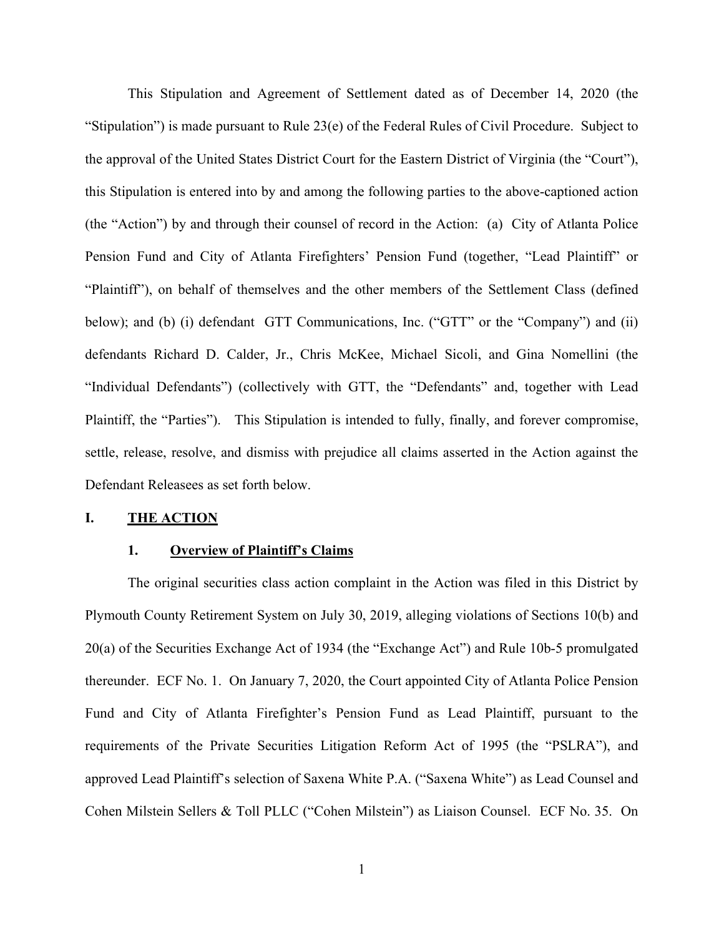This Stipulation and Agreement of Settlement dated as of December 14, 2020 (the "Stipulation") is made pursuant to Rule 23(e) of the Federal Rules of Civil Procedure. Subject to the approval of the United States District Court for the Eastern District of Virginia (the "Court"), this Stipulation is entered into by and among the following parties to the above-captioned action (the "Action") by and through their counsel of record in the Action: (a) City of Atlanta Police Pension Fund and City of Atlanta Firefighters' Pension Fund (together, "Lead Plaintiff" or "Plaintiff"), on behalf of themselves and the other members of the Settlement Class (defined below); and (b) (i) defendant GTT Communications, Inc. ("GTT" or the "Company") and (ii) defendants Richard D. Calder, Jr., Chris McKee, Michael Sicoli, and Gina Nomellini (the "Individual Defendants") (collectively with GTT, the "Defendants" and, together with Lead Plaintiff, the "Parties"). This Stipulation is intended to fully, finally, and forever compromise, settle, release, resolve, and dismiss with prejudice all claims asserted in the Action against the Defendant Releasees as set forth below. (the "Action") by and through their counsel of record in the Action: (a) (<br>Pension Fund and City of Atlanta Firefighters' Pension Fund (together<br>
"Plaintiff"), on behalf of themselves and the other members of the Settl<br>
be below); and (b) (i) defendant GTT Communications, Inc. ("GTT" or the "Company") and (ii) defendants Richard D. Calder, Jr., Chris McKee, Michael Sicoli, and Gina Nomellini (the "Individual Defendants") (collectively with G

## 1. Overview of Plaintiff's Claims

The original securities class action complaint in the Action was filed in this District by 20(a) of the Securities Exchange Act of 1934 (the "Exchange Act") and Rule 10b-5 promulgated thereunder. ECF No. 1. On January 7, 2020, the Court appointed City of Atlanta Police Pension Plaintiff, the "Parties"). This Stipulation is intended to fully, finally, and forever compromise,<br>settle, release, resolve, and dismiss with prejudice all claims asserted in the Aetion against the<br>Defendant Releasces as s settle, release, resolve, and dismiss with prejudice all claims asserted in the Action against the<br>Defendant Releasees as set forth below.<br>
1. **THE ACTION**<br>
1. **Qverview of Plaintiff's Claims**<br>
The original securities clas **Defendant Releasees as set forth below.**<br> **1. <u>Overview of Plaintiff's Claims</u>**<br>
The original securities class action complaint in the Action was filed in this District by<br>
Plymouth County Retirement System on July 30, Cohen Milstein Sellers & Toll PLLC ("Cohen Milstein") as Liaison Counsel. ECF No. 35. On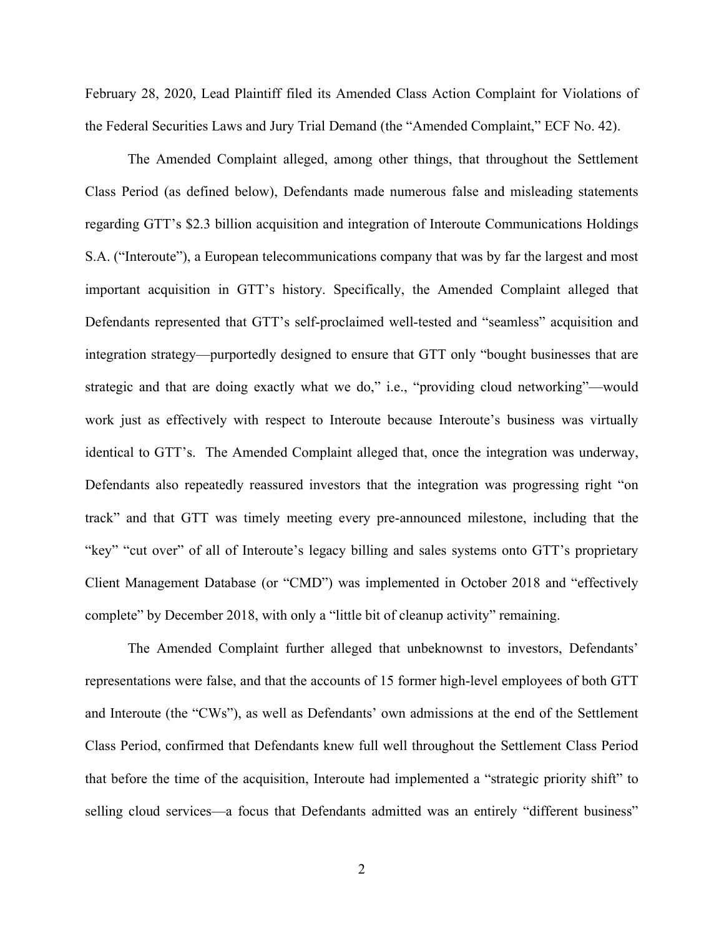February 28, 2020, Lead Plaintiff filed its Amended Class Action Complaint for Violations of<br>the Federal Securities Laws and Jury Trial Demand (the "Amended Complaint," ECF No. 42).<br>The Amended Complaint alleged, among oth the Federal Securities Laws and Jury Trial Demand (the "Amended Complaint," ECF No. 42).

The Amended Complaint alleged, among other things, that throughout the Settlement Class Period (as defined below), Defendants made numerous false and misleading statements regarding GTT's \$2.3 billion acquisition and integration of Interoute Communications Holdings S.A. ("Interoute"), a European telecommunications company that was by far the largest and most important acquisition in GTT's history. Specifically, the Amended Complaint alleged that Defendants represented that GTT's self-proclaimed well-tested and "seamless" acquisition and integration strategy—purportedly designed to ensure that GTT only "bought businesses that are strategic and that are doing exactly what we do," i.e., "providing cloud networking"—would work just as effectively with respect to Interoute because Interoute's business was virtually identical to GTT's. The Amended Complaint alleged that, once the integration was underway, Defendants also repeatedly reassured investors that the integration was progressing right "on track" and that GTT was timely meeting every pre-announced milestone, including that the "key" "cut over" of all of Interoute's legacy billing and sales systems onto GTT's proprietary Client Management Database (or "CMD") was implemented in October 2018 and "effectively complete" by December 2018, with only a "little bit of cleanup activity" remaining.

The Amended Complaint further alleged that unbeknownst to investors, Defendants' representations were false, and that the accounts of 15 former high-level employees of both GTT and Interoute (the "CWs"), as well as Defendants' own admissions at the end of the Settlement Class Period, confirmed that Defendants knew full well throughout the Settlement Class Period that before the time of the acquisition, Interoute had implemented a "strategic priority shift" to selling cloud services—a focus that Defendants admitted was an entirely "different business"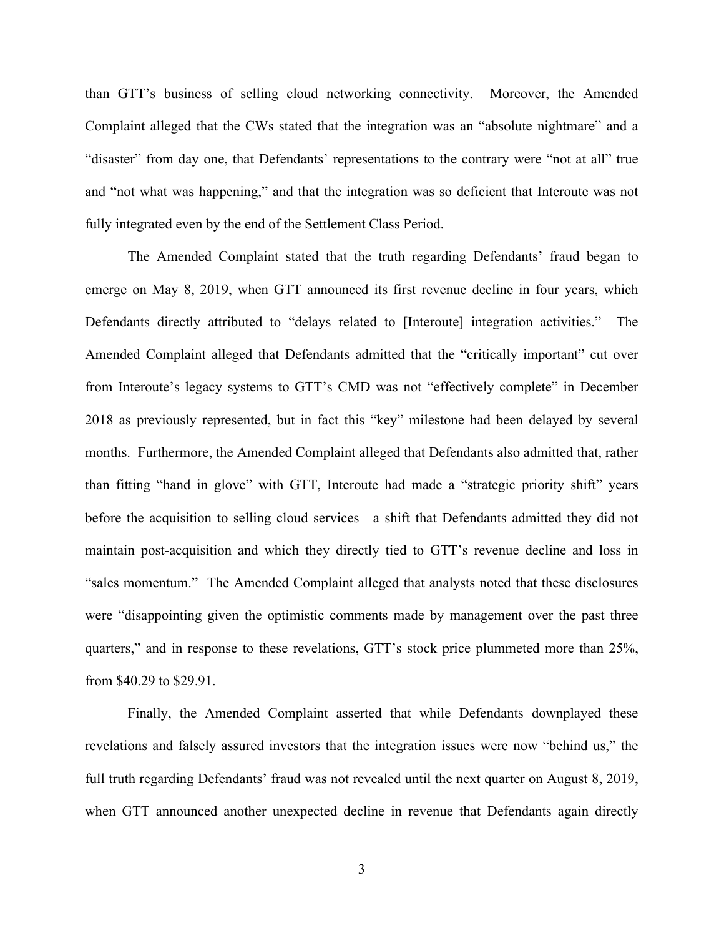than GTT's business of selling cloud networking connectivity. Moreover, the Amended<br>Complaint alleged that the CWs stated that the integration was an "absolute nightmare" and a<br>"disaster" from day one, that Defendants' rep than GTT's business of selling cloud networking connectivity. Moreover, the Amended<br>Complaint alleged that the CWs stated that the integration was an "absolute nightmare" and a<br>"disaster" from day one, that Defendants' rep "disaster" from day one, that Defendants' representations to the contrary were "not at all" true and "not what was happening," and that the integration was so deficient that Interoute was not fully integrated even by the end of the Settlement Class Period.

The Amended Complaint stated that the truth regarding Defendants' fraud began to emerge on May 8, 2019, when GTT announced its first revenue decline in four years, which Defendants directly attributed to "delays related to [Interoute] integration activities." The Amended Complaint alleged that Defendants admitted that the "critically important" cut over from Interoute's legacy systems to GTT's CMD was not "effectively complete" in December 2018 as previously represented, but in fact this "key" milestone had been delayed by several months. Furthermore, the Amended Complaint alleged that Defendants also admitted that, rather than fitting "hand in glove" with GTT, Interoute had made a "strategic priority shift" years before the acquisition to selling cloud services—a shift that Defendants admitted they did not maintain post-acquisition and which they directly tied to GTT's revenue decline and loss in "sales momentum." The Amended Complaint alleged that analysts noted that these disclosures were "disappointing given the optimistic comments made by management over the past three Amended Complaint alleged that Defendants admitted that the "critically important" cut over<br>from Interoute's legacy systems to GTT's CMD was not "effectively complete" in December<br>2018 as previously represented, but in fac from \$40.29 to \$29.91.

Finally, the Amended Complaint asserted that while Defendants downplayed these revelations and falsely assured investors that the integration issues were now "behind us," the full truth regarding Defendants' fraud was not revealed until the next quarter on August 8, 2019, when GTT announced another unexpected decline in revenue that Defendants again directly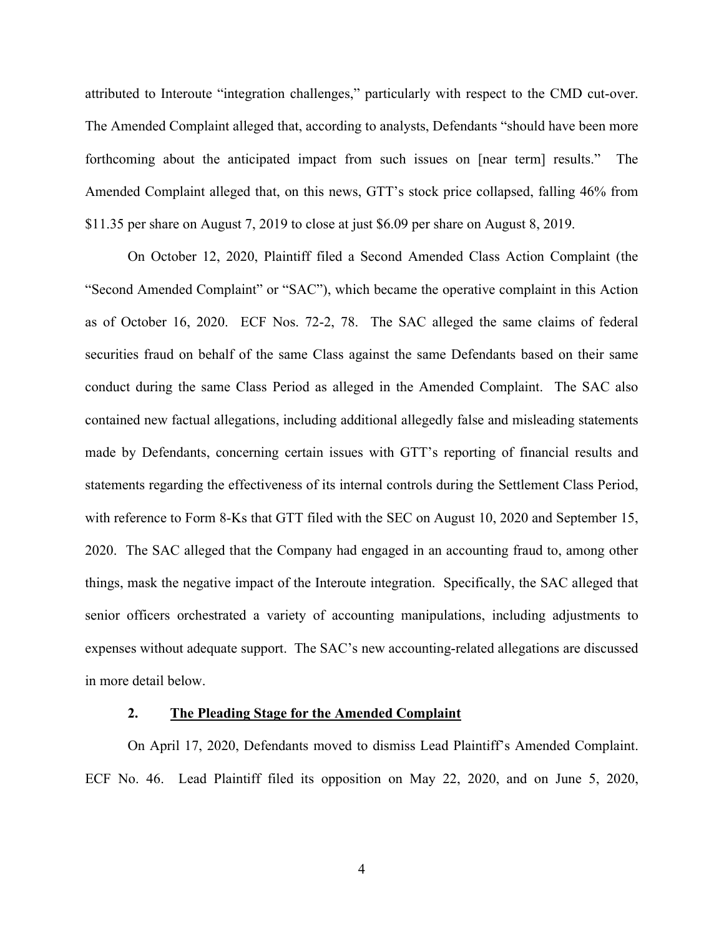attributed to Interoute "integration challenges," particularly with respect to the CMD cut-over. attributed to Interoute "integration challenges," particularly with respect to the CMD cut-over.<br>The Amended Complaint alleged that, according to analysts, Defendants "should have been more<br>forthcoming about the anticipate forthcoming about the anticipated impact from such issues on [near term] results." The Amended Complaint alleged that, on this news, GTT's stock price collapsed, falling 46% from \$11.35 per share on August 7, 2019 to close at just \$6.09 per share on August 8, 2019.

On October 12, 2020, Plaintiff filed a Second Amended Class Action Complaint (the "Second Amended Complaint" or "SAC"), which became the operative complaint in this Action as of October 16, 2020. ECF Nos. 72-2, 78. The SAC alleged the same claims of federal securities fraud on behalf of the same Class against the same Defendants based on their same conduct during the same Class Period as alleged in the Amended Complaint. The SAC also contained new factual allegations, including additional allegedly false and misleading statements made by Defendants, concerning certain issues with GTT's reporting of financial results and statements regarding the effectiveness of its internal controls during the Settlement Class Period, with reference to Form 8-Ks that GTT filed with the SEC on August 10, 2020 and September 15, 2020. The SAC alleged that the Company had engaged in an accounting fraud to, among other things, mask the negative impact of the Interoute integration. Specifically, the SAC alleged that senior officers orchestrated a variety of accounting manipulations, including adjustments to expenses without adequate support. The SAC's new accounting-related allegations are discussed in more detail below. y Defendants, concerning certain issues with GTT's reporting of financial results and<br>the regarding the effectiveness of its internal controls during the Settlement Class Period,<br>ference to Form 8-Ks that GTT filed with th statements regarding the effectiveness of its internal controls during the Settlement Class Period,<br>with reference to Form 8-Ks that GTT filed with the SEC on August 10, 2020 and September 15,<br>2020. The SAC alleged that th

## 2. The Pleading Stage for the Amended Complaint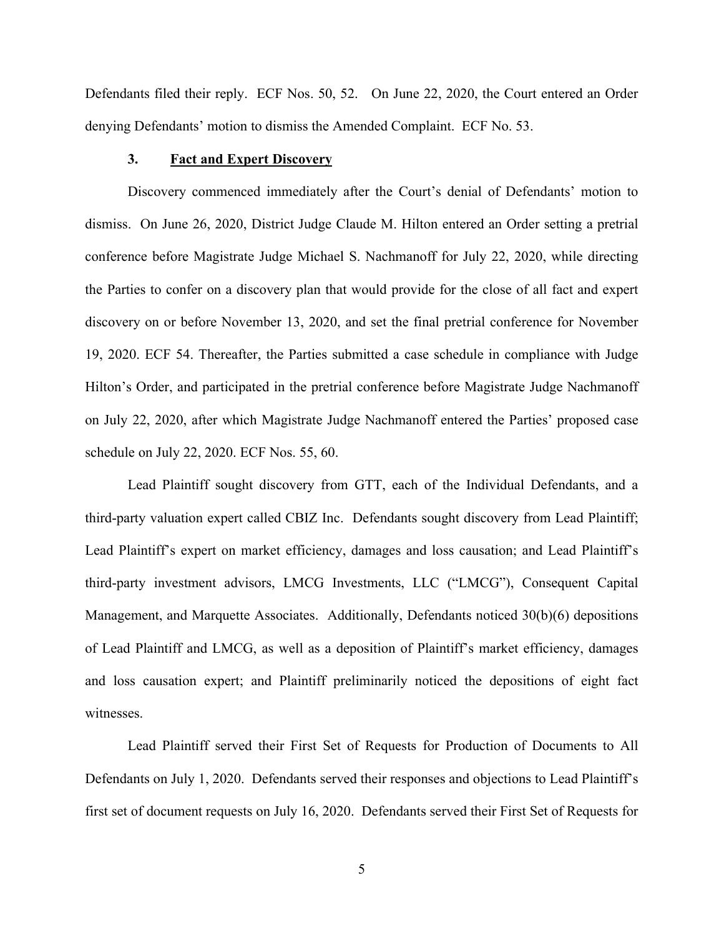Defendants filed their reply. ECF Nos. 50, 52. On June 22, 2020, the Court entered an Order<br>denying Defendants' motion to dismiss the Amended Complaint. ECF No. 53.<br>3. Fact and Expert Discovery denying Defendants' motion to dismiss the Amended Complaint. ECF No. 53.

## 3. Fact and Expert Discovery

Discovery commenced immediately after the Court's denial of Defendants' motion to dismiss. On June 26, 2020, District Judge Claude M. Hilton entered an Order setting a pretrial conference before Magistrate Judge Michael S. Nachmanoff for July 22, 2020, while directing the Parties to confer on a discovery plan that would provide for the close of all fact and expert discovery on or before November 13, 2020, and set the final pretrial conference for November 19, 2020. ECF 54. Thereafter, the Parties submitted a case schedule in compliance with Judge Hilton's Order, and participated in the pretrial conference before Magistrate Judge Nachmanoff on July 22, 2020, after which Magistrate Judge Nachmanoff entered the Parties' proposed case schedule on July 22, 2020. ECF Nos. 55, 60. dismiss. On June 26, 2020, District Judge Claude M. Hilton entered an Order setting a pretrial conference before Magistrate Judge Michael S. Nachmanoff for July 22, 2020, while directing the Parties to confer on a discover

Lead Plaintiff sought discovery from GTT, each of the Individual Defendants, and a Lead Plaintiff's expert on market efficiency, damages and loss causation; and Lead Plaintiff's the Parties to confer on a discovery plan that would provide for the close of all fact and expert<br>discovery on or before November 13, 2020, and set the final pretrial conference for November<br>19, 2020. ECF 54. Thereafter, t Management, and Marquette Associates. Additionally, Defendants noticed 30(b)(6) depositions of Lead Plaintiff and LMCG, as well as a deposition of Plaintiff's market efficiency, damages and loss causation expert; and Plaintiff preliminarily noticed the depositions of eight fact witnesses.

Lead Plaintiff served their First Set of Requests for Production of Documents to All Defendants on July 1, 2020. Defendants served their responses and objections to Lead Plaintiff's first set of document requests on July 16, 2020. Defendants served their First Set of Requests for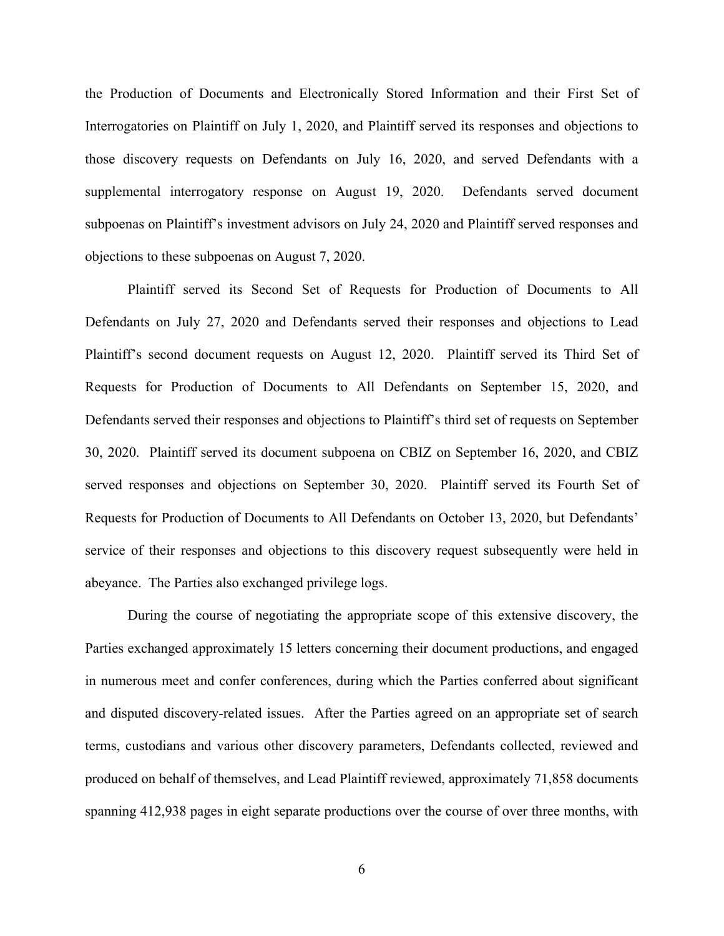the Production of Documents and Electronically Stored Information and their First Set of Interrogatories on Plaintiff on July 1, 2020, and Plaintiff served its responses and objections to those discovery requests on Defendants on July 16, 2020, and served Defendants with a supplemental interrogatory response on August 19, 2020. Defendants served document subpoenas on Plaintiff's investment advisors on July 24, 2020 and Plaintiff served responses and objections to these subpoenas on August 7, 2020.

Plaintiff served its Second Set of Requests for Production of Documents to All Defendants on July 27, 2020 and Defendants served their responses and objections to Lead Plaintiff's second document requests on August 12, 2020. Plaintiff served its Third Set of Requests for Production of Documents to All Defendants on September 15, 2020, and Defendants served their responses and objections to Plaintiff's third set of requests on September 30, 2020. Plaintiff served its document subpoena on CBIZ on September 16, 2020, and CBIZ served responses and objections on September 30, 2020. Plaintiff served its Fourth Set of Requests for Production of Documents to All Defendants on October 13, 2020, but Defendants' service of their responses and objections to this discovery request subsequently were held in abeyance. The Parties also exchanged privilege logs.

During the course of negotiating the appropriate scope of this extensive discovery, the Parties exchanged approximately 15 letters concerning their document productions, and engaged in numerous meet and confer conferences, during which the Parties conferred about significant and disputed discovery-related issues. After the Parties agreed on an appropriate set of search terms, custodians and various other discovery parameters, Defendants collected, reviewed and produced on behalf of themselves, and Lead Plaintiff reviewed, approximately 71,858 documents spanning 412,938 pages in eight separate productions over the course of over three months, with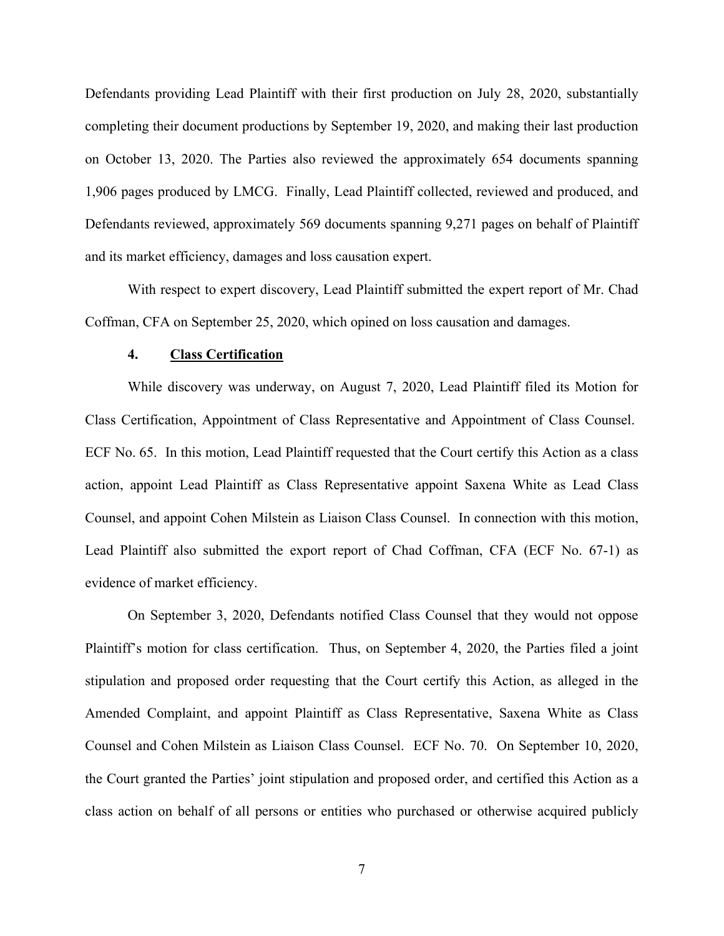Defendants providing Lead Plaintiff with their first production on July 28, 2020, substantially completing their document productions by September 19, 2020, and making their last production on October 13, 2020. The Parties also reviewed the approximately 654 documents spanning 1,906 pages produced by LMCG. Finally, Lead Plaintiff collected, reviewed and produced, and Defendants reviewed, approximately 569 documents spanning 9,271 pages on behalf of Plaintiff and its market efficiency, damages and loss causation expert.

With respect to expert discovery, Lead Plaintiff submitted the expert report of Mr. Chad Coffman, CFA on September 25, 2020, which opined on loss causation and damages.

### 4. Class Certification

While discovery was underway, on August 7, 2020, Lead Plaintiff filed its Motion for Class Certification, Appointment of Class Representative and Appointment of Class Counsel. ECF No. 65. In this motion, Lead Plaintiff requested that the Court certify this Action as a class 1,906 pages produced by LMCG. Finally, Lead Plaintiff collected, reviewed and produced, and<br>Defendants reviewed, approximately 569 documents spanning 9,271 pages on behalf of Plaintiff<br>and its market efficiency, damages an Counsel, and appoint Cohen Milstein as Liaison Class Counsel. In connection with this motion, Lead Plaintiff also submitted the export report of Chad Coffman, CFA (ECF No. 67-1) as evidence of market efficiency. **4. Class Certification**<br>
While discovery was underway, on August 7, 2020, Lead Plaintiff filed its Motion for<br>
Class Certification, Appointment of Class Representative and Appointment of Class Counsel.<br>
ECF No. 65. In thi

On September 3, 2020, Defendants notified Class Counsel that they would not oppose stipulation and proposed order requesting that the Court certify this Action, as alleged in the Amended Complaint, and appoint Plaintiff as Class Representative, Saxena White as Class Counsel and Cohen Milstein as Liaison Class Counsel. ECF No. 70. On September 10, 2020, action, appoint Lead Plaintiff as Class Representative appoint Saxena White as Lead Class<br>Counsel, and appoint Cohen Milstein as Liaison Class Counsel. In connection with this motion,<br>Lead Plaintiff also submitted the expo class action on behalf of all persons or entities who purchased or otherwise acquired publicly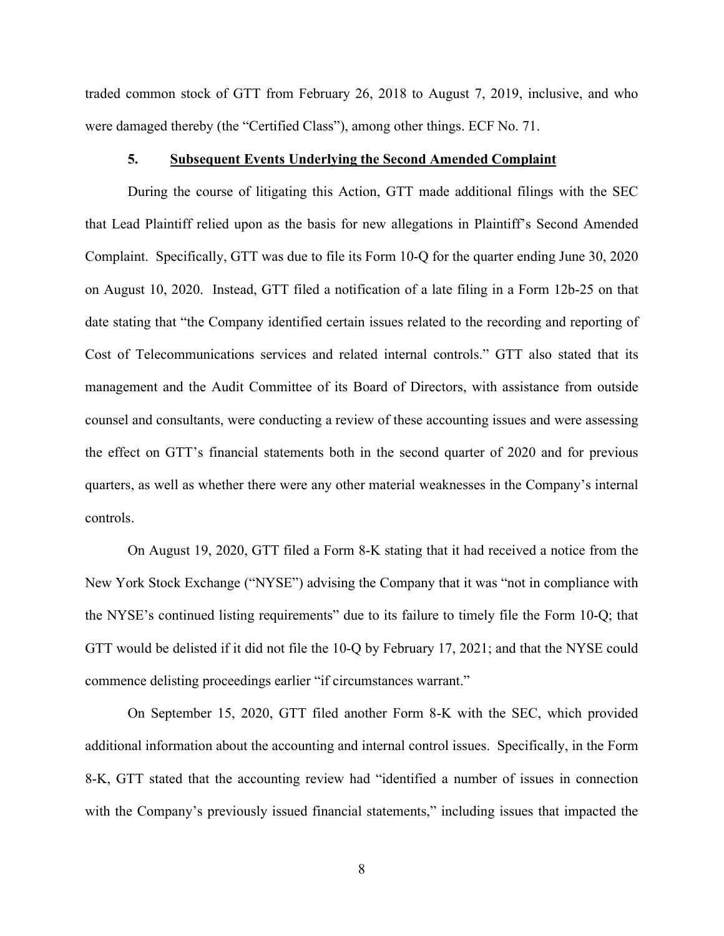traded common stock of GTT from February 26, 2018 to August 7, 2019, inclusive, and who were damaged thereby (the "Certified Class"), among other things. ECF No. 71.

Exempon stock of GTT from February 26, 2018 to August 7, 2019, inclusive, and who<br>sumaged thereby (the "Certified Class"), among other things. ECF No. 71.<br>5. Subsequent Events Underlying the Second Amended Complaint<br>During During the course of litigating this Action, GTT made additional filings with the SEC that Lead Plaintiff relied upon as the basis for new allegations in Plaintiff's Second Amended Complaint. Specifically, GTT was due to file its Form 10-Q for the quarter ending June 30, 2020 on August 10, 2020. Instead, GTT filed a notification of a late filing in a Form 12b-25 on that date stating that "the Company identified certain issues related to the recording and reporting of Cost of Telecommunications services and related internal controls." GTT also stated that its management and the Audit Committee of its Board of Directors, with assistance from outside counsel and consultants, were conducting a review of these accounting issues and were assessing the effect on GTT's financial statements both in the second quarter of 2020 and for previous quarters, as well as whether there were any other material weaknesses in the Company's internal controls.

On August 19, 2020, GTT filed a Form 8-K stating that it had received a notice from the New York Stock Exchange ("NYSE") advising the Company that it was "not in compliance with the NYSE's continued listing requirements" due to its failure to timely file the Form 10-Q; that GTT would be delisted if it did not file the 10-Q by February 17, 2021; and that the NYSE could commence delisting proceedings earlier "if circumstances warrant."

On September 15, 2020, GTT filed another Form 8-K with the SEC, which provided additional information about the accounting and internal control issues. Specifically, in the Form 8-K, GTT stated that the accounting review had "identified a number of issues in connection with the Company's previously issued financial statements," including issues that impacted the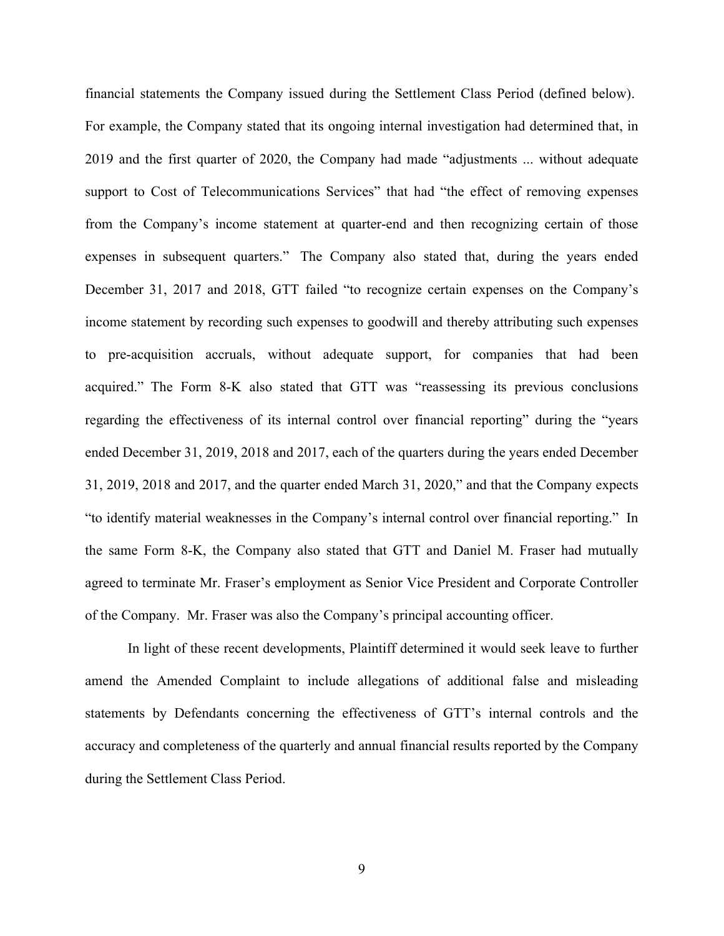financial statements the Company issued during the Settlement Class Period (defined below). For example, the Company stated that its ongoing internal investigation had determined that, in 2019 and the first quarter of 2020, the Company had made "adjustments ... without adequate support to Cost of Telecommunications Services" that had "the effect of removing expenses from the Company's income statement at quarter-end and then recognizing certain of those expenses in subsequent quarters." The Company also stated that, during the years ended December 31, 2017 and 2018, GTT failed "to recognize certain expenses on the Company's income statement by recording such expenses to goodwill and thereby attributing such expenses to pre-acquisition accruals, without adequate support, for companies that had been acquired." The Form 8-K also stated that GTT was "reassessing its previous conclusions regarding the effectiveness of its internal control over financial reporting" during the "years ended December 31, 2019, 2018 and 2017, each of the quarters during the years ended December 31, 2019, 2018 and 2017, and the quarter ended March 31, 2020," and that the Company expects "to identify material weaknesses in the Company's internal control over financial reporting." In the same Form 8-K, the Company also stated that GTT and Daniel M. Fraser had mutually agreed to terminate Mr. Fraser's employment as Senior Vice President and Corporate Controller of the Company. Mr. Fraser was also the Company's principal accounting officer.

In light of these recent developments, Plaintiff determined it would seek leave to further amend the Amended Complaint to include allegations of additional false and misleading statements by Defendants concerning the effectiveness of GTT's internal controls and the accuracy and completeness of the quarterly and annual financial results reported by the Company during the Settlement Class Period.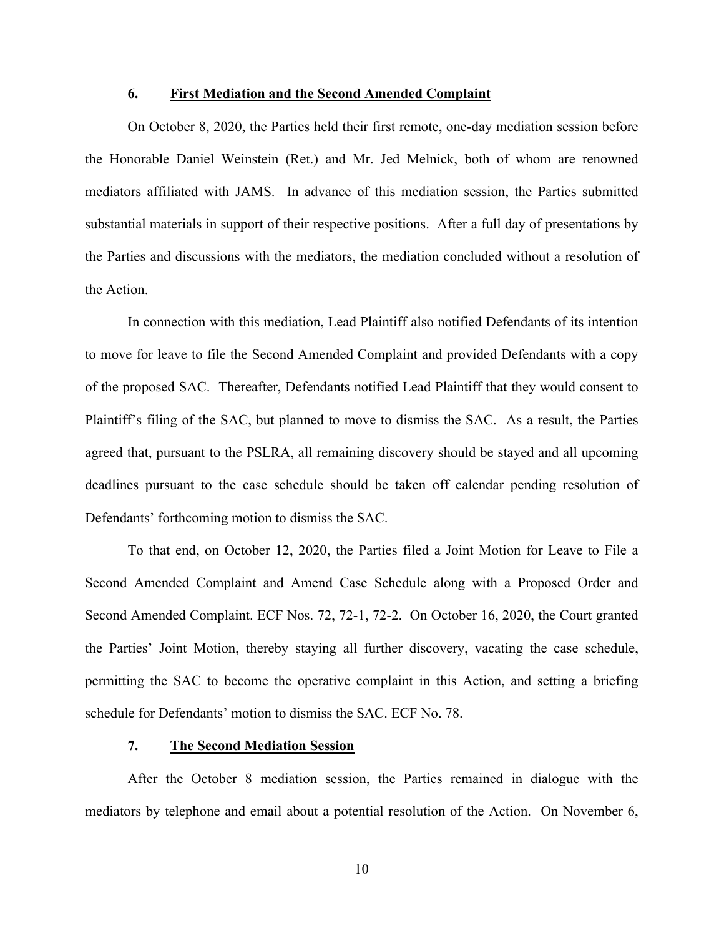### 6. First Mediation and the Second Amended Complaint

**6.** First Mediation and the Second Amended Complaint<br>On October 8, 2020, the Parties held their first remote, one-day mediation session before<br>norable Daniel Weinstein (Ret.) and Mr. Jed Melnick, both of whom are renowned the Honorable Daniel Weinstein (Ret.) and Mr. Jed Melnick, both of whom are renowned mediators affiliated with JAMS. In advance of this mediation session, the Parties submitted substantial materials in support of their respective positions. After a full day of presentations by the Parties and discussions with the mediators, the mediation concluded without a resolution of the Action.

In connection with this mediation, Lead Plaintiff also notified Defendants of its intention to move for leave to file the Second Amended Complaint and provided Defendants with a copy of the proposed SAC. Thereafter, Defendants notified Lead Plaintiff that they would consent to Plaintiff's filing of the SAC, but planned to move to dismiss the SAC. As a result, the Parties agreed that, pursuant to the PSLRA, all remaining discovery should be stayed and all upcoming deadlines pursuant to the case schedule should be taken off calendar pending resolution of Defendants' forthcoming motion to dismiss the SAC. ities and discussions with the mediators, the mediation concluded without a resolution of<br>ion.<br>In connection with this mediation, Lead Plaintiff also notified Defendants of its intention<br>for leave to file the Second Amende

Second Amended Complaint and Amend Case Schedule along with a Proposed Order and Second Amended Complaint. ECF Nos. 72, 72-1, 72-2. On October 16, 2020, the Court granted the Parties' Joint Motion, thereby staying all further discovery, vacating the case schedule, permitting the SAC to become the operative complaint in this Action, and setting a briefing schedule for Defendants' motion to dismiss the SAC. ECF No. 78.

### 7. The Second Mediation Session

After the October 8 mediation session, the Parties remained in dialogue with the mediators by telephone and email about a potential resolution of the Action. On November 6,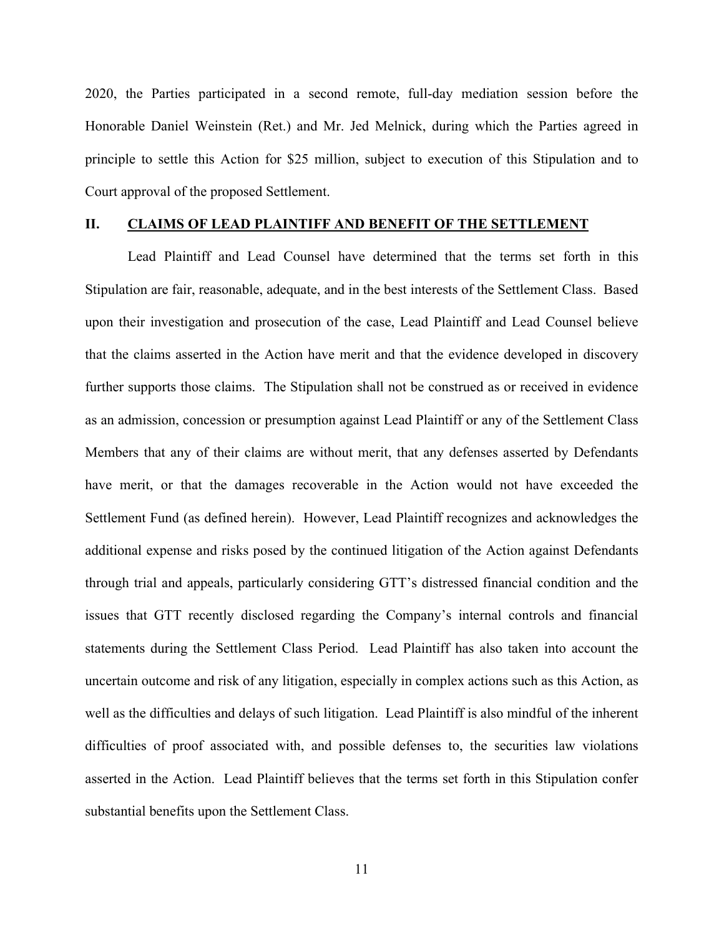2020, the Parties participated in a second remote, full-day mediation session before the 2020, the Parties participated in a second remote, full-day mediation session before the<br>Honorable Daniel Weinstein (Ret.) and Mr. Jed Melnick, during which the Parties agreed in<br>principle to settle this Action for \$25 mil principle to settle this Action for \$25 million, subject to execution of this Stipulation and to Court approval of the proposed Settlement. The Parties participated in a second remote, full-day mediation session before the<br>Honorable Daniel Weinstein (Ret.) and Mr. Jed Melnick, during which the Parties agreed in<br>principle to settle this Action for \$25 million,

Lead Plaintiff and Lead Counsel have determined that the terms set forth in this Stipulation are fair, reasonable, adequate, and in the best interests of the Settlement Class. Based upon their investigation and prosecution of the case, Lead Plaintiff and Lead Counsel believe that the claims asserted in the Action have merit and that the evidence developed in discovery further supports those claims. The Stipulation shall not be construed as or received in evidence as an admission, concession or presumption against Lead Plaintiff or any of the Settlement Class Members that any of their claims are without merit, that any defenses asserted by Defendants have merit, or that the damages recoverable in the Action would not have exceeded the II. CLAIMS OF LEAD PLAINTIFF AND BENEFIT OF THE SETTLEMENT<br>Lead Plaintiff and Lead Counsel have determined that the terms set forth in this<br>Stipulation are fair, reasonable, adequate, and in the best interests of the Settl additional expense and risks posed by the continued litigation of the Action against Defendants through trial and appeals, particularly considering GTT's distressed financial condition and the issues that GTT recently disclosed regarding the Company's internal controls and financial statements during the Settlement Class Period. Lead Plaintiff has also taken into account the uncertain outcome and risk of any litigation, especially in complex actions such as this Action, as well as the difficulties and delays of such litigation. Lead Plaintiff is also mindful of the inherent difficulties of proof associated with, and possible defenses to, the securities law violations have merit, or that the damages recoverable in the Action would not have exceeded the Sctlement Fund (as defined herein). However, Lead Plaintiff recognizes and acknowledges the additional expense and risks posed by the co substantial benefits upon the Settlement Class.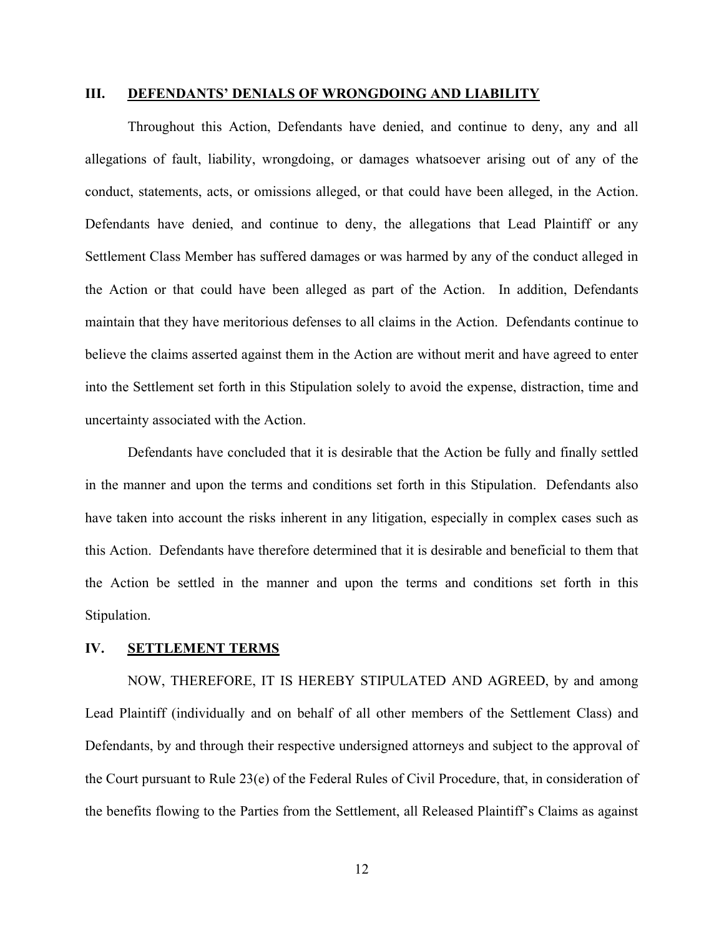### III. DEFENDANTS' DENIALS OF WRONGDOING AND LIABILITY

Throughout this Action, Defendants have denied, and continue to deny, any and all allegations of fault, liability, wrongdoing, or damages whatsoever arising out of any of the conduct, statements, acts, or omissions alleged, or that could have been alleged, in the Action. Defendants have denied, and continue to deny, the allegations that Lead Plaintiff or any Settlement Class Member has suffered damages or was harmed by any of the conduct alleged in the Action or that could have been alleged as part of the Action. In addition, Defendants maintain that they have meritorious defenses to all claims in the Action. Defendants continue to **III.** DEFENDANTS' DENIALS OF WRONGDOING AND LIABILITY Throughout this Action, Defendants have denied, and continue to deny, any and all allegations of fault, liability, wrongdoing, or damages whatsoever arising out of any into the Settlement set forth in this Stipulation solely to avoid the expense, distraction, time and uncertainty associated with the Action.

Defendants have concluded that it is desirable that the Action be fully and finally settled in the manner and upon the terms and conditions set forth in this Stipulation. Defendants also have taken into account the risks inherent in any litigation, especially in complex cases such as this Action. Defendants have therefore determined that it is desirable and beneficial to them that the Action be settled in the manner and upon the terms and conditions set forth in this Stipulation.

## IV. SETTLEMENT TERMS

NOW, THEREFORE, IT IS HEREBY STIPULATED AND AGREED, by and among Lead Plaintiff (individually and on behalf of all other members of the Settlement Class) and Defendants, by and through their respective undersigned attorneys and subject to the approval of the Court pursuant to Rule 23(e) of the Federal Rules of Civil Procedure, that, in consideration of the benefits flowing to the Parties from the Settlement, all Released Plaintiff's Claims as against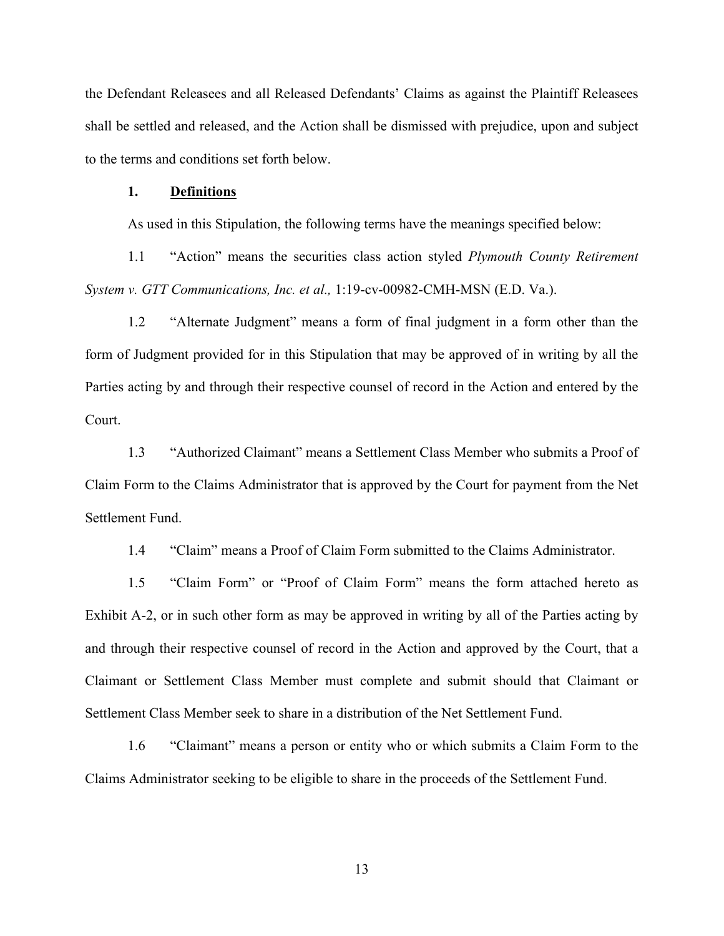the Defendant Releasees and all Released Defendants' Claims as against the Plaintiff Releasees shall be settled and released, and the Action shall be dismissed with prejudice, upon and subject to the terms and conditions set forth below. 1.1 The securities data and all Released Defendants' Claims as against the Plaintiff Releasees<br>1.1 securities and the Action shall be dismissed with prejudice, upon and subject<br>1.1 Definitions<br>2.5 used in this Stipulation,

### 1. Definitions

As used in this Stipulation, the following terms have the meanings specified below:

System v. GTT Communications, Inc. et al., 1:19-cv-00982-CMH-MSN (E.D. Va.).

1.2 "Exercise and all Released Defendants' Claims as against the Plaintiff Releasees<br>
1. Settled and released, and the Action shall be dismissed with prejudice, upon and subject<br>
1. Definitions<br>
1. Definitions<br>
1. "Action" form of Judgment provided for in this Stipulation that may be approved of in writing by all the Parties acting by and through their respective counsel of record in the Action and entered by the Court. 2.1. **Definitions**<br>
1. **Definitions**<br>
1.3 used in this Stipulation, the following terms have the meanings specified below:<br>
1.1 "Action" means the securities class action styled *Plymouth County Retirement*<br>
1.7 "Action" m 1.1 "Action" means the securities class action styled *Plymouth County Retirement* v. *GTT Communications, Inc. et al.*, 1:19-cv-00982-CMH-MSN (E.D. Va.).<br>
1.2 "Alternate Judgment" means a form of final judgment in a form v. *GTT Communications. Inc. et al.*, 1:19-cv-00982-CMH-MSN (E.D. Va.).<br>
1.2 "Alternate Judgment" means a form of final judgment in a form other than the Judgment provided for in this Stipulation that may be approved of in

Claim Form to the Claims Administrator that is approved by the Court for payment from the Net Settlement Fund.

Exhibit A-2, or in such other form as may be approved in writing by all of the Parties acting by and through their respective counsel of record in the Action and approved by the Court, that a Claimant or Settlement Class Member must complete and submit should that Claimant or Settlement Class Member seek to share in a distribution of the Net Settlement Fund. 1.3 "Authorized Claimant" means a Settlement Class Member who submits a Proof of<br>
Torm to the Claims Administrator that is approved by the Court for payment from the Net<br>
ent Fund.<br>
"Claim" means a Proof of Claim Form subm

Claims Administrator seeking to be eligible to share in the proceeds of the Settlement Fund.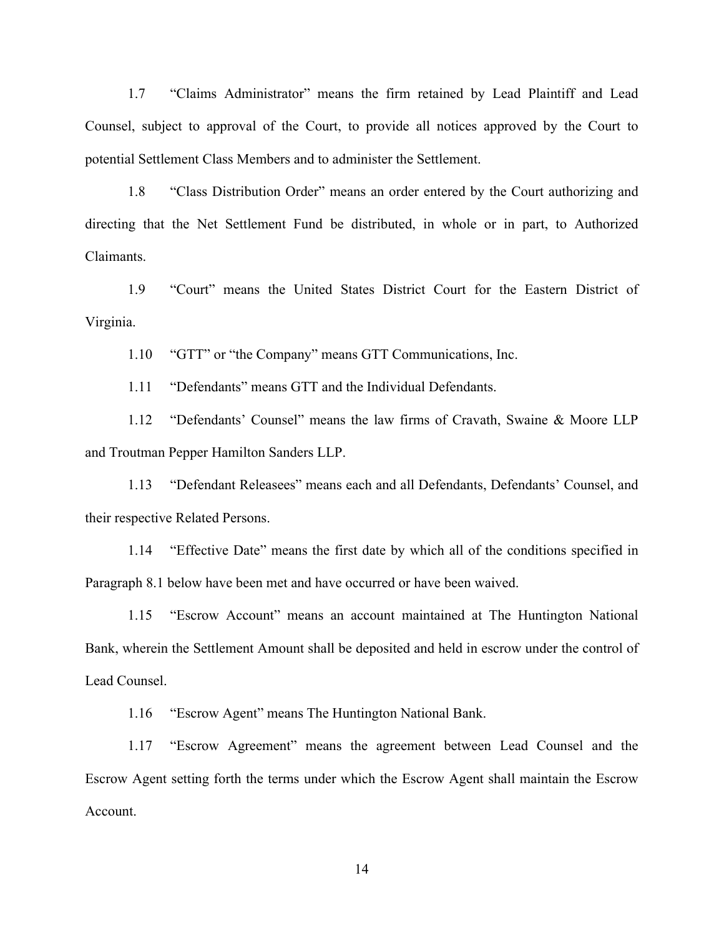1.7 "Claims Administrator" means the firm retained by Lead Plaintiff and Lead<br>1, subject to approval of the Court, to provide all notices approved by the Court to<br>1 Settlement Class Members and to administer the Settlement Counsel, subject to approval of the Court, to provide all notices approved by the Court to potential Settlement Class Members and to administer the Settlement.

"1.7 "Claims Administrator" means the firm retained by Lead Plaintiff and Lead<br>1, subject to approval of the Court, to provide all notices approved by the Court to<br>1.8 "Class Distribution Order" means an order entered by t directing that the Net Settlement Fund be distributed, in whole or in part, to Authorized Claimants. "Claims Administrator" means the firm retained by Lead Plaintiff and Lead<br>
1, subject to approval of the Court, to provide all notices approved by the Court to<br>
11 Settlement Class Members and to administer the Settlement. "Claims Administrator" means the firm retained by Lead Plaintiff and Lead<br>
1, subject to approval of the Court, to provide all notices approved by the Court to<br>
11 Settlement Class Members and to administer the Settlement. 1.7 "Claims Administrator" means the firm retained by Lead Plaintiff are 1, subject to approval of the Court, to provide all notices approved by the C<br>al Settlement Class Members and to administer the Settlement.<br>1.8 "Clas 1, subject to approval of the Court, to provide all notices approved by the Court to<br>
11 Settlement Class Members and to administer the Settlement.<br>
1.8 "Class Distribution Order" means an order entered by the Court author

Virginia.

and Troutman Pepper Hamilton Sanders LLP.

1.13 "Defendant Releasees" means each and all Defendants, Defendants' Counsel, and their respective Related Persons.

1.14 "Effective Date" means the first date by which all of the conditions specified in Paragraph 8.1 below have been met and have occurred or have been waived.

1.15 "Escrow Account" means an account maintained at The Huntington National Bank, wherein the Settlement Amount shall be deposited and held in escrow under the control of Lead Counsel.

1.16 "Escrow Agent" means The Huntington National Bank.

1.13 "Defendant Releasees" means each and all Defendants, Defendants' Counsel, and<br>
1.13 "Defendant Releasees" means each and all Defendants, Defendants' Counsel, and<br>
1.14 "Effective Date" means the first date by which al Escrow Agent setting forth the terms under which the Escrow Agent shall maintain the Escrow Account.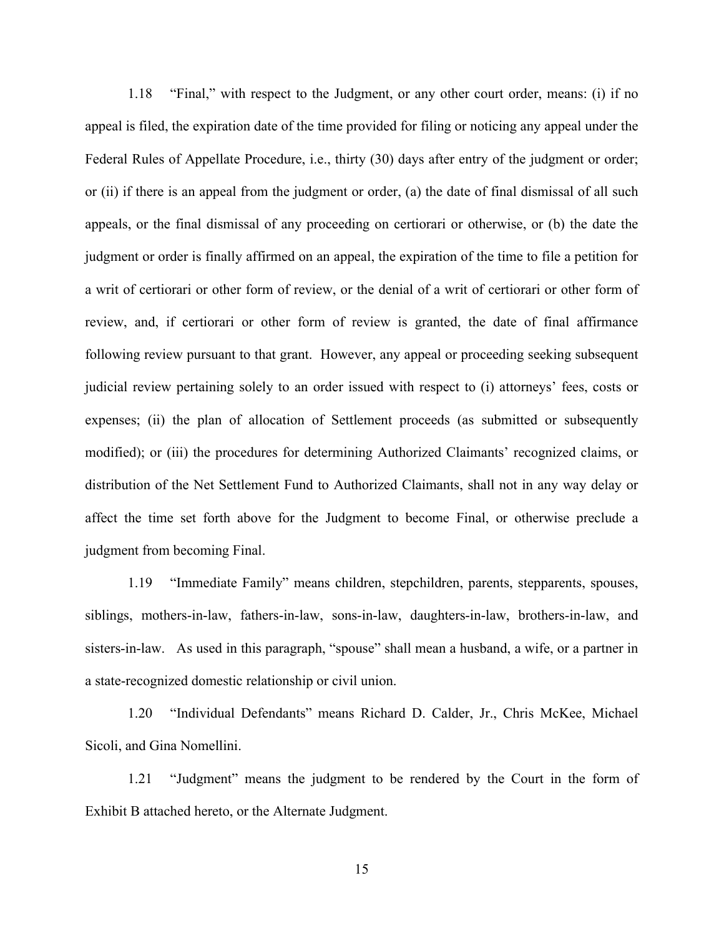1.18 "Final," with respect to the Judgment, or any other court order, means: (i) if no<br>is filed, the expiration date of the time provided for filing or noticing any appeal under the<br>Rules of Appellate Procedure, i.e., thir appeal is filed, the expiration date of the time provided for filing or noticing any appeal under the Federal Rules of Appellate Procedure, i.e., thirty (30) days after entry of the judgment or order; or (ii) if there is an appeal from the judgment or order, (a) the date of final dismissal of all such appeals, or the final dismissal of any proceeding on certiorari or otherwise, or (b) the date the judgment or order is finally affirmed on an appeal, the expiration of the time to file a petition for a writ of certiorari or other form of review, or the denial of a writ of certiorari or other form of review, and, if certiorari or other form of review is granted, the date of final affirmance following review pursuant to that grant. However, any appeal or proceeding seeking subsequent judicial review pertaining solely to an order issued with respect to (i) attorneys' fees, costs or expenses; (ii) the plan of allocation of Settlement proceeds (as submitted or subsequently modified); or (iii) the procedures for determining Authorized Claimants' recognized claims, or distribution of the Net Settlement Fund to Authorized Claimants, shall not in any way delay or affect the time set forth above for the Judgment to become Final, or otherwise preclude a judgment from becoming Final. of certiorari or other form of review, or the denial of a writ of certiorari or other form of<br>and, if certiorari or other form of review is granted, the date of final affirmance<br>greview pursuant to that grant. However, any

siblings, mothers-in-law, fathers-in-law, sons-in-law, daughters-in-law, brothers-in-law, and sisters-in-law. As used in this paragraph, "spouse" shall mean a husband, a wife, or a partner in a state-recognized domestic relationship or civil union.

1.20 "Individual Defendants" means Richard D. Calder, Jr., Chris McKee, Michael Sicoli, and Gina Nomellini.

1.21 "Judgment" means the judgment to be rendered by the Court in the form of Exhibit B attached hereto, or the Alternate Judgment.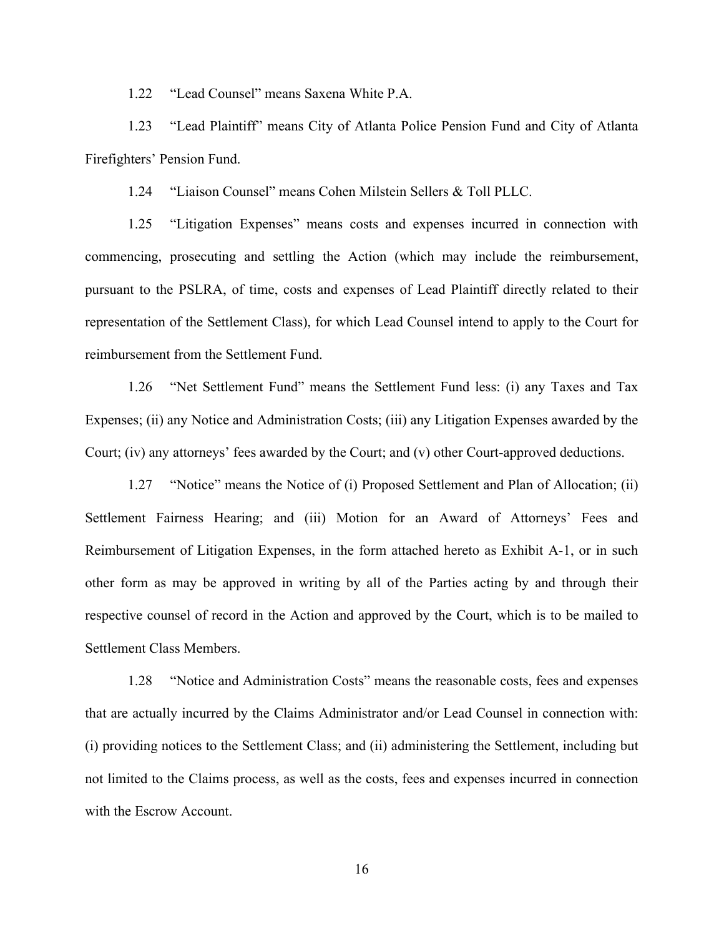1.22 "Lead Counsel" means Saxena White P.A.<br>1.23 "Lead Plaintiff" means City of Atlanta Police Pension Fund and C<br>tters' Pension Fund. 1.23 "Lead Plaintiff" means City of Atlanta Police Pension Fund and City of Atlanta Firefighters' Pension Fund.

1.24 "Liaison Counsel" means Cohen Milstein Sellers & Toll PLLC.

1.25 "Litigation Expenses" means costs and expenses incurred in connection with commencing, prosecuting and settling the Action (which may include the reimbursement, pursuant to the PSLRA, of time, costs and expenses of Lead Plaintiff directly related to their representation of the Settlement Class), for which Lead Counsel intend to apply to the Court for reimbursement from the Settlement Fund. 1.22 "Lead Counsel" means Saxena White P.A.<br>
1.23 "Lead Plaintiff" means City of Atlanta Police Pension Fund and City of Atlanta<br>
1.24 "Liaison Counsel" means Cohen Milstein Sellers & Toll PLLC.<br>
1.25 "Litigation Expenses" 1.24 "Liaison Counsel" means Cohen Milstein Sellers & Toll PLLC.<br>
1.25 "Litigation Expenses" means costs and expenses incurred in connection with<br>
noting, prosecuting and settling the Action (which may include the reimburs

Expenses; (ii) any Notice and Administration Costs; (iii) any Litigation Expenses awarded by the Court; (iv) any attorneys' fees awarded by the Court; and (v) other Court-approved deductions.

Settlement Fairness Hearing; and (iii) Motion for an Award of Attorneys' Fees and Reimbursement of Litigation Expenses, in the form attached hereto as Exhibit A-1, or in such other form as may be approved in writing by all of the Parties acting by and through their respective counsel of record in the Action and approved by the Court, which is to be mailed to Settlement Class Members.

1.28 "Notice and Administration Costs" means the reasonable costs, fees and expenses that are actually incurred by the Claims Administrator and/or Lead Counsel in connection with: (i) providing notices to the Settlement Class; and (ii) administering the Settlement, including but not limited to the Claims process, as well as the costs, fees and expenses incurred in connection with the Escrow Account.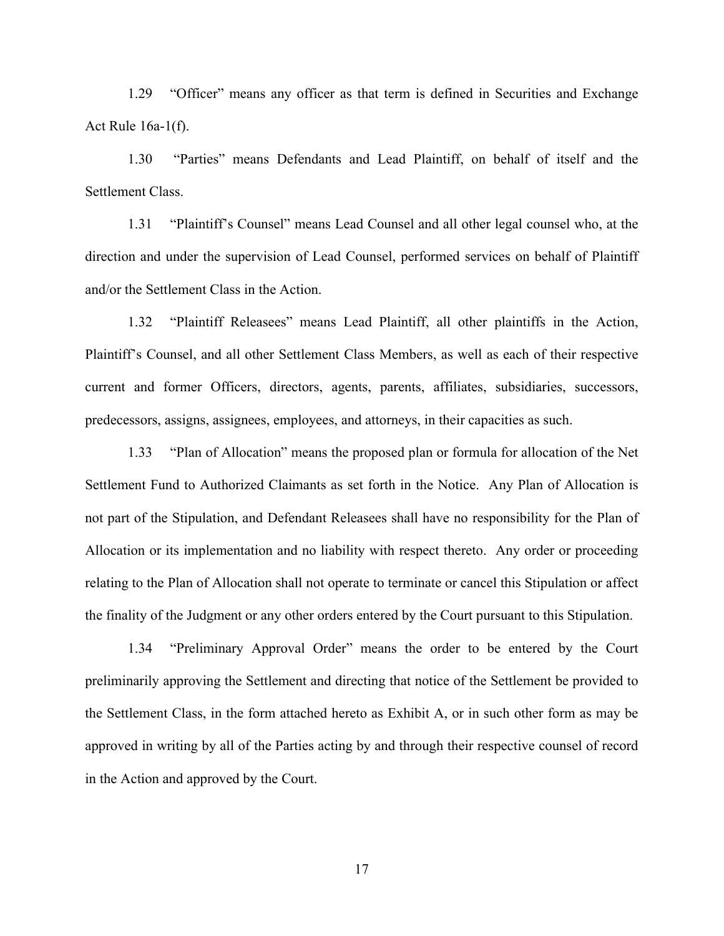1.29 "Officer" means any officer as that term is defined in Securities and Exchange<br>le 16a-1(f).<br>1.30 "Parties" means Defendants and Lead Plaintiff, on behalf of itself and the Act Rule 16a-1(f).

<sup>1.29</sup> "Officer" means any officer as that term is defined in Securities and Exchange<br>
1.30 "Parties" means Defendants and Lead Plaintiff, on behalf of itself and the<br>
ent Class.<br>
<sup>1.31</sup> "Plaintiff's Counsel" means Lead Co Settlement Class.

1.29 "Officer" means any officer as that term is defined in Securities and Exchange<br>
1.30 "Parties" means Defendants and Lead Plaintiff, on behalf of itself and the<br>
ent Class.<br>
1.31 "Plaintiff's Counsel" means Lead Counse direction and under the supervision of Lead Counsel, performed services on behalf of Plaintiff and/or the Settlement Class in the Action.

1.32 "Plaintiff Releasees" means Lead Plaintiff, all other plaintiffs in the Action, Plaintiff's Counsel, and all other Settlement Class Members, as well as each of their respective current and former Officers, directors, agents, parents, affiliates, subsidiaries, successors, predecessors, assigns, assignees, employees, and attorneys, in their capacities as such. 1.30 "Parties" means Defendants and Lead Plaintiff, on behalf of itself and the ent Class.<br>
1.31 "Plaintiff's Counsel" means Lead Counsel and all other legal counsel who, at the<br>
1.31 "Plaintiff's Counsel" means Lead Couns

Settlement Fund to Authorized Claimants as set forth in the Notice. Any Plan of Allocation is not part of the Stipulation, and Defendant Releasees shall have no responsibility for the Plan of Allocation or its implementation and no liability with respect thereto. Any order or proceeding relating to the Plan of Allocation shall not operate to terminate or cancel this Stipulation or affect the finality of the Judgment or any other orders entered by the Court pursuant to this Stipulation. T's Counsel, and all other Settlement Class Members, as well as each of their respective<br>and former Officers, directors, agents, parents, affiliates, subsidiaries, successors,<br>ssors, assigns, assignes, employees, and attor

preliminarily approving the Settlement and directing that notice of the Settlement be provided to the Settlement Class, in the form attached hereto as Exhibit A, or in such other form as may be approved in writing by all of the Parties acting by and through their respective counsel of record in the Action and approved by the Court.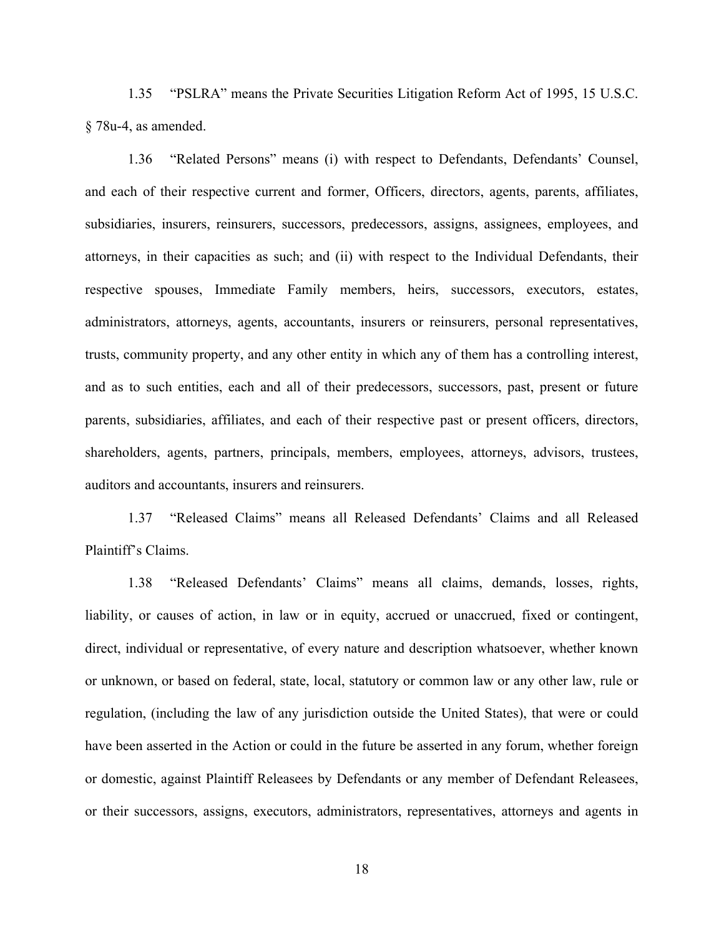1.35 "PSLRA" means the Private Securities Litigation Reform Act of 1995, 15 U.S.C.<br>5. as amended.<br>1.36 "Related Persons" means (i) with respect to Defendants, Defendants' Counsel, § 78u-4, as amended.

1.35 "PSLRA" means the Private Securities Litigation Reform Act of 1995, 15 U.S.C.<br>5. as amended.<br>1.36 "Related Persons" means (i) with respect to Defendants, Defendants' Counsel,<br>th of their respective current and former, and each of their respective current and former, Officers, directors, agents, parents, affiliates, subsidiaries, insurers, reinsurers, successors, predecessors, assigns, assignees, employees, and attorneys, in their capacities as such; and (ii) with respect to the Individual Defendants, their respective spouses, Immediate Family members, heirs, successors, executors, estates, administrators, attorneys, agents, accountants, insurers or reinsurers, personal representatives, trusts, community property, and any other entity in which any of them has a controlling interest, and as to such entities, each and all of their predecessors, successors, past, present or future parents, subsidiaries, affiliates, and each of their respective past or present officers, directors, shareholders, agents, partners, principals, members, employees, attorneys, advisors, trustees, auditors and accountants, insurers and reinsurers. aries, insurers, reinsurers, successors, predecessors, assigns, assignees, employees, and<br>
s, in their capacities as such; and (ii) with respect to the Individual Defendants, their<br>
ve spouses, Immediate Family members, he ive spouses, Immediate Family members, heirs, successors, executors, estates, attactors, attorneys, agents, accountants, insurers or reinsurers, personal representatives, community property, and any other entity in which a

Plaintiff's Claims.

liability, or causes of action, in law or in equity, accrued or unaccrued, fixed or contingent, direct, individual or representative, of every nature and description whatsoever, whether known or unknown, or based on federal, state, local, statutory or common law or any other law, rule or regulation, (including the law of any jurisdiction outside the United States), that were or could have been asserted in the Action or could in the future be asserted in any forum, whether foreign or domestic, against Plaintiff Releasees by Defendants or any member of Defendant Releasees, or their successors, assigns, executors, administrators, representatives, attorneys and agents in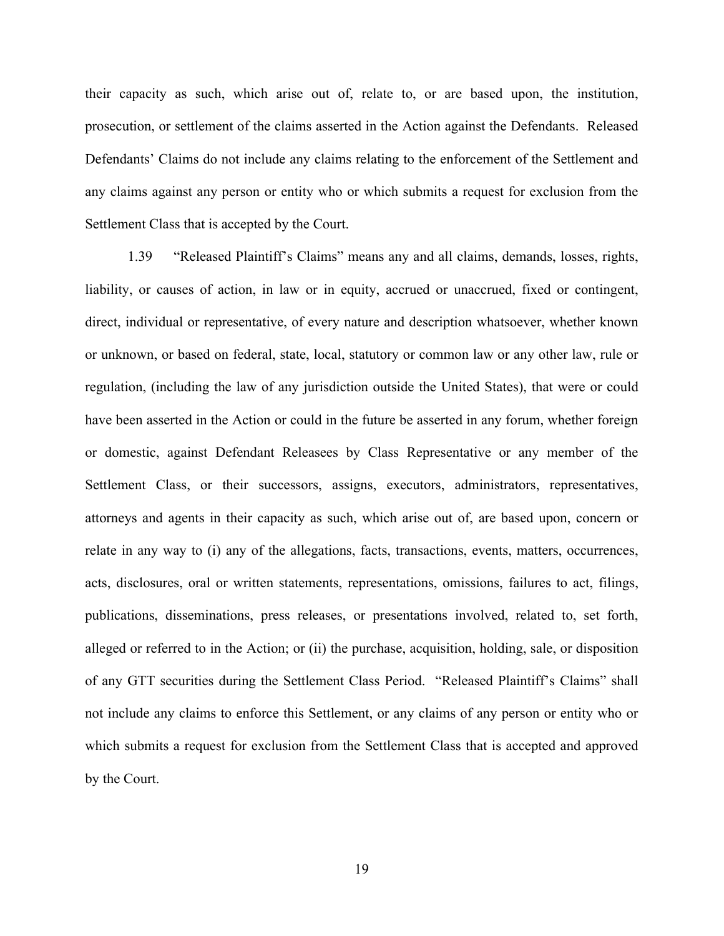their capacity as such, which arise out of, relate to, or are based upon, the institution, prosecution, or settlement of the claims asserted in the Action against the Defendants. Released Defendants' Claims do not include any claims relating to the enforcement of the Settlement and any claims against any person or entity who or which submits a request for exclusion from the Settlement Class that is accepted by the Court.

1.39 "Released Plaintiff's Claims" means any and all claims, demands, losses, rights, liability, or causes of action, in law or in equity, accrued or unaccrued, fixed or contingent, direct, individual or representative, of every nature and description whatsoever, whether known or unknown, or based on federal, state, local, statutory or common law or any other law, rule or regulation, (including the law of any jurisdiction outside the United States), that were or could have been asserted in the Action or could in the future be asserted in any forum, whether foreign or domestic, against Defendant Releasees by Class Representative or any member of the Settlement Class, or their successors, assigns, executors, administrators, representatives, attorneys and agents in their capacity as such, which arise out of, are based upon, concern or relate in any way to (i) any of the allegations, facts, transactions, events, matters, occurrences, acts, disclosures, oral or written statements, representations, omissions, failures to act, filings, publications, disseminations, press releases, or presentations involved, related to, set forth, or unknown, or based on federal, state, local, statutory or common law or any other law, rule or regulation, (including the law of any jurisdiction outside the United States), that were or could have been asserted in the A of any GTT securities during the Settlement Class Period. "Released Plaintiff's Claims" shall not include any claims to enforce this Settlement, or any claims of any person or entity who or which submits a request for exclusion from the Settlement Class that is accepted and approved by the Court.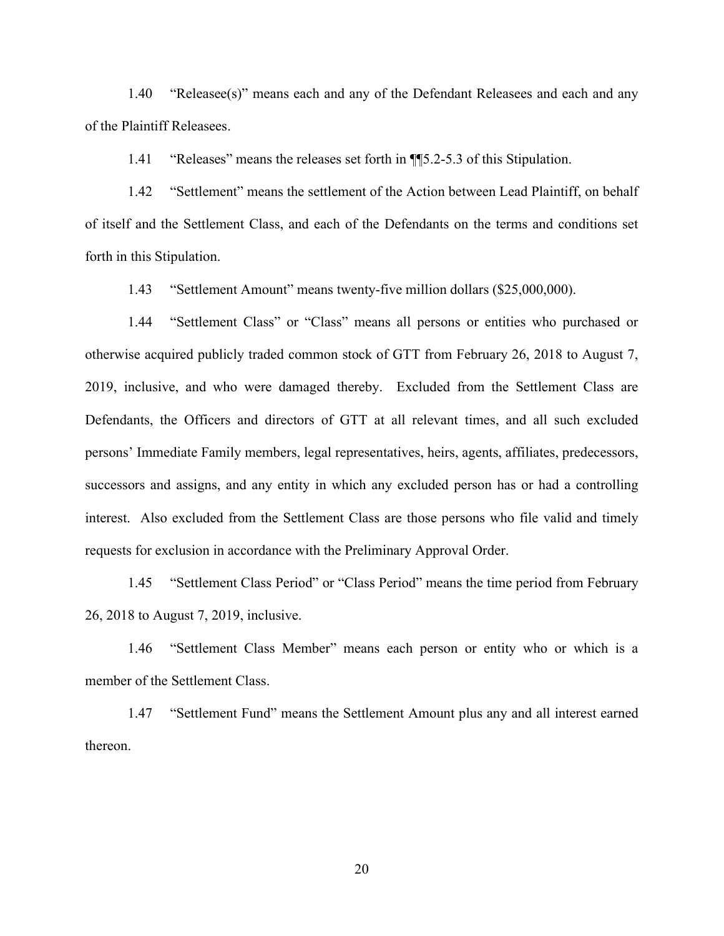1.40 "Releasee(s)" means each and any of the Defendant Releasees and each and any<br>2.11 "Releasees" means the releases set forth in 1||15.2-5.3 of this Stipulation. of the Plaintiff Releasees.

1.41 "Releases" means the releases set forth in ¶¶5.2-5.3 of this Stipulation.

1.42 "Settlement" means the settlement of the Action between Lead Plaintiff, on behalf of itself and the Settlement Class, and each of the Defendants on the terms and conditions set forth in this Stipulation.

1.43 "Settlement Amount" means twenty-five million dollars (\$25,000,000).

1.44 "Settlement Class" or "Class" means all persons or entities who purchased or otherwise acquired publicly traded common stock of GTT from February 26, 2018 to August 7, 2019, inclusive, and who were damaged thereby. Excluded from the Settlement Class are Defendants, the Officers and directors of GTT at all relevant times, and all such excluded persons' Immediate Family members, legal representatives, heirs, agents, affiliates, predecessors, successors and assigns, and any entity in which any excluded person has or had a controlling interest. Also excluded from the Settlement Class are those persons who file valid and timely requests for exclusion in accordance with the Preliminary Approval Order. 1.43 "Settlement Amount" means twenty-five million dollars (\$25,000,000).<br>
1.44 "Settlement Class" or "Class" means all persons or entities who purchased or<br>
se acquired publicly traded common stock of GTT from February 26 1.44 "Settlement Class" or "Class" means all persons or entities wetherwise acquired publicly traded common stock of GTT from February 26, 2019, inclusive, and who were damaged thereby. Excluded from the Settl Defendants, se acquired publicly traded common stock of GTT from February 26, 2018 to August 7,<br>nelusive, and who were damaged thereby. Excluded from the Settlement Class are<br>ants, the Officers and directors of GTT at all relevant tim ants, the Officers and directors of GTT at all relevant times, and all such excluded<br>
"Immediate Family members, legal representatives, heirs, agents, affiliates, predecessors,<br>
ors and assigns, and any entity in which any

member of the Settlement Class.

thereon.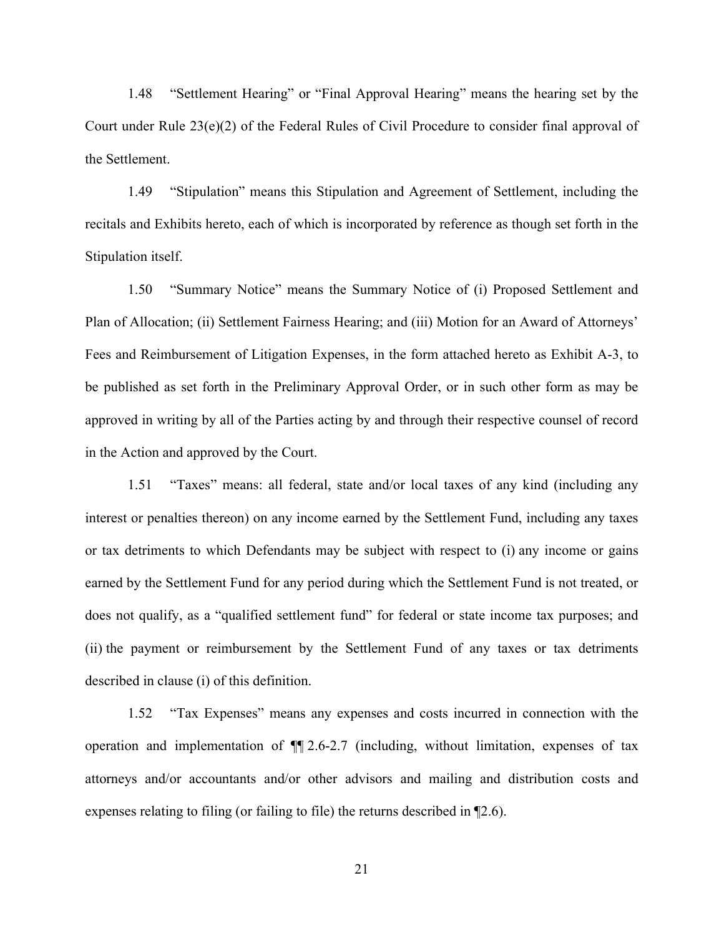1.48 "Settlement Hearing" or "Final Approval Hearing" means the hearing set by the<br>under Rule 23(e)(2) of the Federal Rules of Civil Procedure to consider final approval of<br>lement. Court under Rule 23(e)(2) of the Federal Rules of Civil Procedure to consider final approval of the Settlement.

1.48 "Settlement Hearing" or "Final Approval Hearing" means the hearing set by the<br>nder Rule  $23(e)(2)$  of the Federal Rules of Civil Procedure to consider final approval of<br>lement.<br>1.49 "Stipulation" means this Stipulation recitals and Exhibits hereto, each of which is incorporated by reference as though set forth in the Stipulation itself.

1.50 "Summary Notice" means the Summary Notice of (i) Proposed Settlement and Plan of Allocation; (ii) Settlement Fairness Hearing; and (iii) Motion for an Award of Attorneys' Fees and Reimbursement of Litigation Expenses, in the form attached hereto as Exhibit A-3, to be published as set forth in the Preliminary Approval Order, or in such other form as may be approved in writing by all of the Parties acting by and through their respective counsel of record in the Action and approved by the Court.

1.51 "Taxes" means: all federal, state and/or local taxes of any kind (including any interest or penalties thereon) on any income earned by the Settlement Fund, including any taxes or tax detriments to which Defendants may be subject with respect to (i) any income or gains earned by the Settlement Fund for any period during which the Settlement Fund is not treated, or does not qualify, as a "qualified settlement fund" for federal or state income tax purposes; and (ii) the payment or reimbursement by the Settlement Fund of any taxes or tax detriments described in clause (i) of this definition.

1.52 "Tax Expenses" means any expenses and costs incurred in connection with the operation and implementation of ¶¶ 2.6-2.7 (including, without limitation, expenses of tax attorneys and/or accountants and/or other advisors and mailing and distribution costs and expenses relating to filing (or failing to file) the returns described in ¶2.6).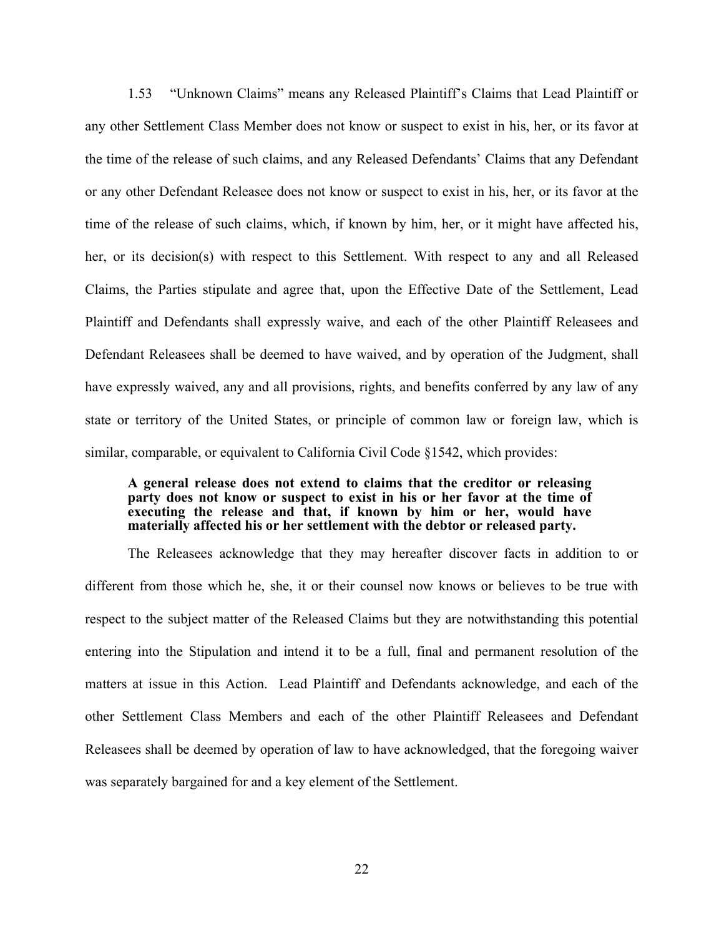1.53 "Unknown Claims" means any Released Plaintiff's Claims that Lead Plaintiff or any other Settlement Class Member does not know or suspect to exist in his, her, or its favor at the time of the release of such claims, and any Released Defendants' Claims that any Defendant or any other Defendant Releasee does not know or suspect to exist in his, her, or its favor at the time of the release of such claims, which, if known by him, her, or it might have affected his, her, or its decision(s) with respect to this Settlement. With respect to any and all Released Claims, the Parties stipulate and agree that, upon the Effective Date of the Settlement, Lead Plaintiff and Defendants shall expressly waive, and each of the other Plaintiff Releasees and Defendant Releasees shall be deemed to have waived, and by operation of the Judgment, shall have expressly waived, any and all provisions, rights, and benefits conferred by any law of any state or territory of the United States, or principle of common law or foreign law, which is similar, comparable, or equivalent to California Civil Code §1542, which provides:

### A general release does not extend to claims that the creditor or releasing party does not know or suspect to exist in his or her favor at the time of executing the release and that, if known by him or her, would have materially affected his or her settlement with the debtor or released party.

The Releasees acknowledge that they may hereafter discover facts in addition to or different from those which he, she, it or their counsel now knows or believes to be true with respect to the subject matter of the Released Claims but they are notwithstanding this potential entering into the Stipulation and intend it to be a full, final and permanent resolution of the matters at issue in this Action. Lead Plaintiff and Defendants acknowledge, and each of the other Settlement Class Members and each of the other Plaintiff Releasees and Defendant Releasees shall be deemed by operation of law to have acknowledged, that the foregoing waiver was separately bargained for and a key element of the Settlement.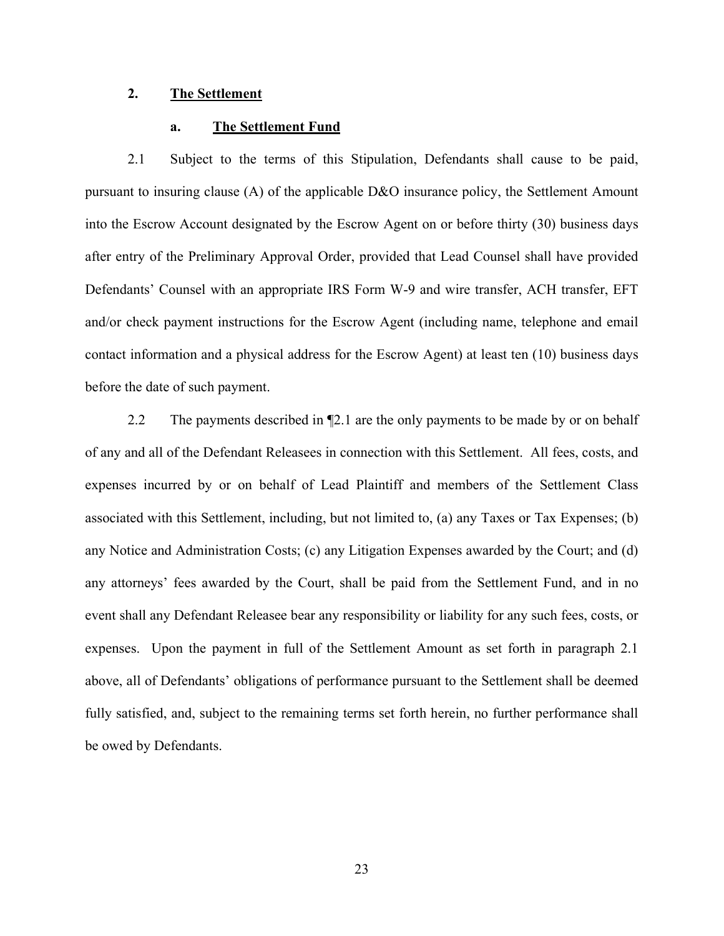## 2. The Settlement

The Settlement<br>
a. The Settlement Fund<br>
Subject to the terms of this Stipulation, Defendants shall cause to be<br>
uring clause (A) of the applicable D&O insurance policy, the Settlement A 2. The Settlement<br>
2.1 Subject to the terms of this Stipulation, Defendants shall cause to be paid,<br>
2.1 Subject to the terms of this Stipulation, Defendants shall cause to be paid,<br>
2.1 to insuring clause (A) of the appli pursuant to insuring clause (A) of the applicable D&O insurance policy, the Settlement Amount into the Escrow Account designated by the Escrow Agent on or before thirty (30) business days after entry of the Preliminary Approval Order, provided that Lead Counsel shall have provided Defendants' Counsel with an appropriate IRS Form W-9 and wire transfer, ACH transfer, EFT and/or check payment instructions for the Escrow Agent (including name, telephone and email contact information and a physical address for the Escrow Agent) at least ten (10) business days before the date of such payment. **2.1** Subject to the terms of this Stipulation, Defendants shall cause to be paid,<br>
2.1 Subject to the terms of this Stipulation, Defendants shall cause to be paid,<br>
1.1 to insuring clause (A) of the applicable D&O insuran

of any and all of the Defendant Releasees in connection with this Settlement. All fees, costs, and expenses incurred by or on behalf of Lead Plaintiff and members of the Settlement Class associated with this Settlement, including, but not limited to, (a) any Taxes or Tax Expenses; (b) any Notice and Administration Costs; (c) any Litigation Expenses awarded by the Court; and (d) Defendants' Counsel with an appropriate IRS Form W-9 and wire transfer, ACH transfer, EFT<br>and/or check payment instructions for the Escrow Agent (including name, telephone and email<br>contact information and a physical addre event shall any Defendant Releasee bear any responsibility or liability for any such fees, costs, or expenses. Upon the payment in full of the Settlement Amount as set forth in paragraph 2.1 above, all of Defendants' obligations of performance pursuant to the Settlement shall be deemed fully satisfied, and, subject to the remaining terms set forth herein, no further performance shall be owed by Defendants.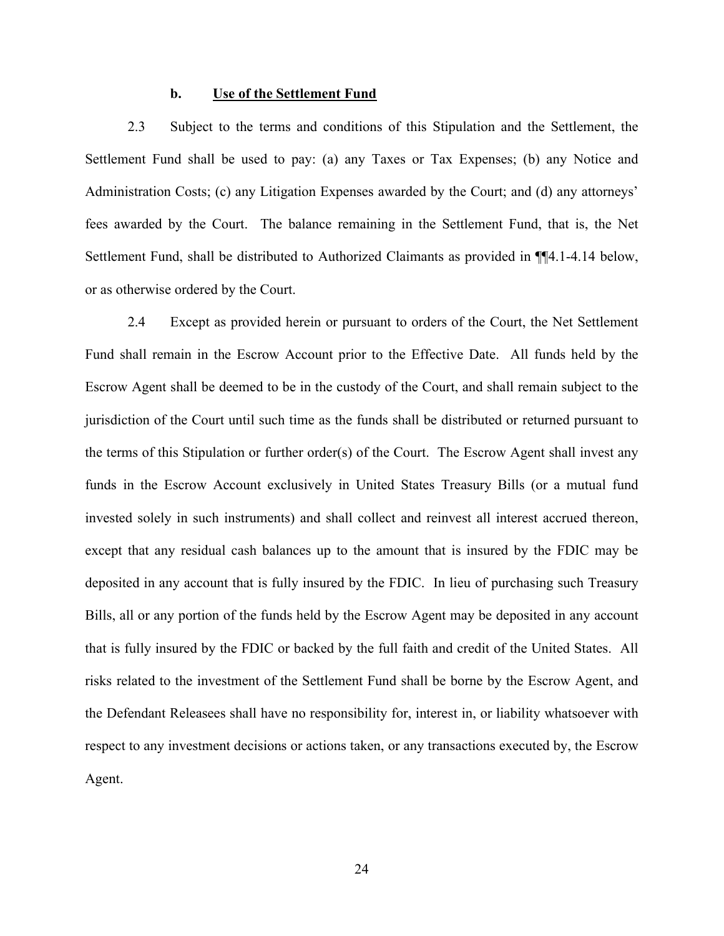### b. Use of the Settlement Fund

**12.3** Subject to the terms and conditions of this Stipulation and the Settlement, the ent Fund shall be used to pay: (a) any Taxes or Tax Expenses; (b) any Notice and stration Costs; (c) any Litigation Expenses awarded by Settlement Fund shall be used to pay: (a) any Taxes or Tax Expenses; (b) any Notice and Administration Costs; (c) any Litigation Expenses awarded by the Court; and (d) any attorneys' fees awarded by the Court. The balance remaining in the Settlement Fund, that is, the Net Settlement Fund, shall be distributed to Authorized Claimants as provided in ¶¶4.1-4.14 below, or as otherwise ordered by the Court. **2.3** Subject to the terms and conditions of this Stipulation and the Settlement, the ent Fund shall be used to pay: (a) any Taxes or Tax Expenses; (b) any Notice and stration Costs; (c) any Litigation Expenses awarded by

Fund shall remain in the Escrow Account prior to the Effective Date. All funds held by the Escrow Agent shall be deemed to be in the custody of the Court, and shall remain subject to the 2.3 Subject to the terms and conditions of this Stipulation and the Settlement, the<br>Settlement Fund shall be used to pay: (a) any Taxes or Tax Expenses; (b) any Notice and<br>Administration Costs; (c) any Litigation Expenses the terms of this Stipulation or further order(s) of the Court. The Escrow Agent shall invest any funds in the Escrow Account exclusively in United States Treasury Bills (or a mutual fund invested solely in such instruments) and shall collect and reinvest all interest accrued thereon, except that any residual cash balances up to the amount that is insured by the FDIC may be deposited in any account that is fully insured by the FDIC. In lieu of purchasing such Treasury Bills, all or any portion of the funds held by the Escrow Agent may be deposited in any account that is fully insured by the FDIC or backed by the full faith and credit of the United States. All risks related to the investment of the Settlement Fund shall be borne by the Escrow Agent, and the Defendant Releasees shall have no responsibility for, interest in, or liability whatsoever with respect to any investment decisions or actions taken, or any transactions executed by, the Escrow Agent.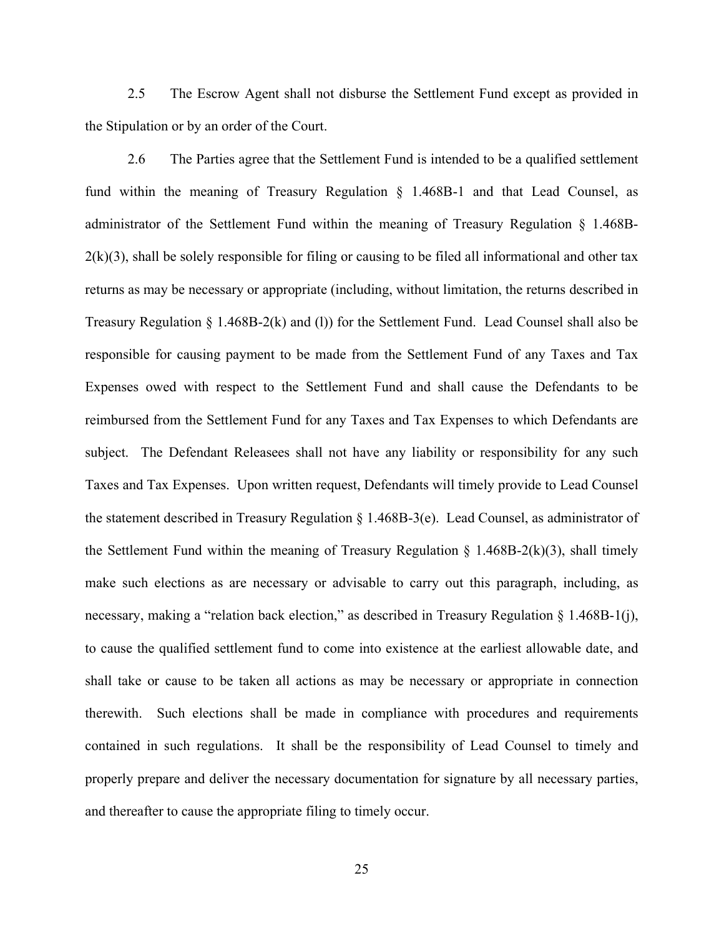2.5 The Escrow Agent shall not disburse the Settlement Fund except as provided in<br>
ulation or by an order of the Court.<br>
2.6 The Parties agree that the Settlement Fund is intended to be a qualified settlement the Stipulation or by an order of the Court.

2.5 The Escrow Agent shall not disburse the Settlement Fund except as provided in valation or by an order of the Court.<br>2.6 The Parties agree that the Settlement Fund is intended to be a qualified settlement rithin the me fund within the meaning of Treasury Regulation § 1.468B-1 and that Lead Counsel, as administrator of the Settlement Fund within the meaning of Treasury Regulation § 1.468B- $2(k)(3)$ , shall be solely responsible for filing or causing to be filed all informational and other tax returns as may be necessary or appropriate (including, without limitation, the returns described in Treasury Regulation § 1.468B-2(k) and (l)) for the Settlement Fund. Lead Counsel shall also be responsible for causing payment to be made from the Settlement Fund of any Taxes and Tax Expenses owed with respect to the Settlement Fund and shall cause the Defendants to be reimbursed from the Settlement Fund for any Taxes and Tax Expenses to which Defendants are subject. The Defendant Releasees shall not have any liability or responsibility for any such fund within the meaning of Treasury Regulation § 1.468B-1 and that Lead Counsel, as<br>administrator of the Settlement Fund within the meaning of Treasury Regulation § 1.468B-<br>2(k)(3), shall be solely responsible for filing administrator of the Settlement Fund within the meaning of Treasury Regulation § 1.468B-2(k)(3), shall be solely responsible for filing or causing to be filed all informational and other tax<br>returns as may be necessary or the Settlement Fund within the meaning of Treasury Regulation  $\S$  1.468B-2(k)(3), shall timely make such elections as are necessary or advisable to carry out this paragraph, including, as necessary, making a "relation back election," as described in Treasury Regulation § 1.468B-1(j), to cause the qualified settlement fund to come into existence at the earliest allowable date, and shall take or cause to be taken all actions as may be necessary or appropriate in connection therewith. Such elections shall be made in compliance with procedures and requirements contained in such regulations. It shall be the responsibility of Lead Counsel to timely and properly prepare and deliver the necessary documentation for signature by all necessary parties, and thereafter to cause the appropriate filing to timely occur.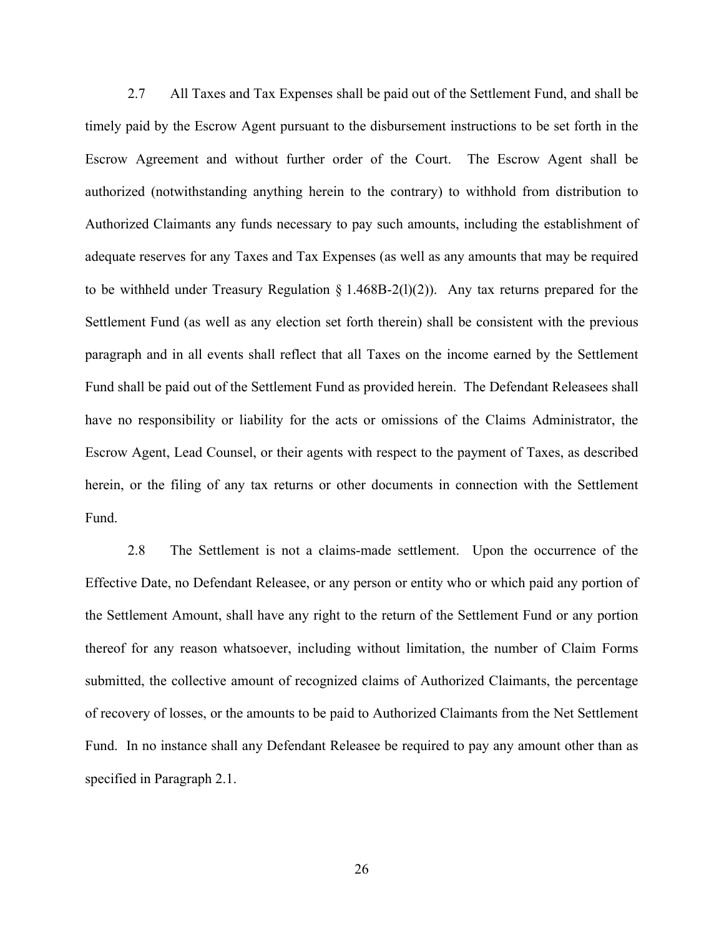2.7 All Taxes and Tax Expenses shall be paid out of the Settlement Fund, and shall be paid by the Escrow Agent pursuant to the disbursement instructions to be set forth in the Agreement and without further order of the Cou timely paid by the Escrow Agent pursuant to the disbursement instructions to be set forth in the Escrow Agreement and without further order of the Court. The Escrow Agent shall be authorized (notwithstanding anything herein to the contrary) to withhold from distribution to Authorized Claimants any funds necessary to pay such amounts, including the establishment of adequate reserves for any Taxes and Tax Expenses (as well as any amounts that may be required to be withheld under Treasury Regulation  $\S 1.468B-2(1)(2)$ . Any tax returns prepared for the Settlement Fund (as well as any election set forth therein) shall be consistent with the previous paragraph and in all events shall reflect that all Taxes on the income earned by the Settlement Fund shall be paid out of the Settlement Fund as provided herein. The Defendant Releasees shall have no responsibility or liability for the acts or omissions of the Claims Administrator, the Escrow Agent, Lead Counsel, or their agents with respect to the payment of Taxes, as described herein, or the filing of any tax returns or other documents in connection with the Settlement Fund.

2.8 The Settlement is not a claims-made settlement. Upon the occurrence of the Effective Date, no Defendant Releasee, or any person or entity who or which paid any portion of the Settlement Amount, shall have any right to the return of the Settlement Fund or any portion thereof for any reason whatsoever, including without limitation, the number of Claim Forms submitted, the collective amount of recognized claims of Authorized Claimants, the percentage of recovery of losses, or the amounts to be paid to Authorized Claimants from the Net Settlement Fund. In no instance shall any Defendant Releasee be required to pay any amount other than as specified in Paragraph 2.1.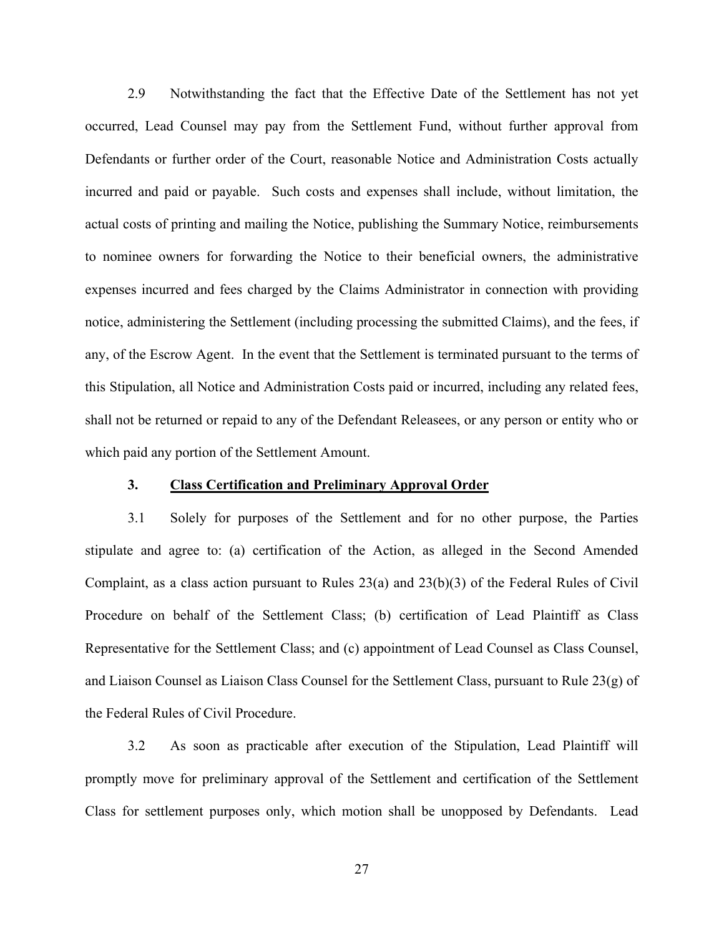2.9 Notwithstanding the fact that the Effective Date of the Settlement has not yet<br>d, Lead Counsel may pay from the Settlement Fund, without further approval from<br>ants or further order of the Court, reasonable Notice and A occurred, Lead Counsel may pay from the Settlement Fund, without further approval from Defendants or further order of the Court, reasonable Notice and Administration Costs actually 2.9 Notwithstanding the fact that the Effective Date of the Settlement has not yet<br>occurred, Lead Counsel may pay from the Settlement Fund, without further approval from<br>Defendants or further order of the Court, reasonable actual costs of printing and mailing the Notice, publishing the Summary Notice, reimbursements to nominee owners for forwarding the Notice to their beneficial owners, the administrative expenses incurred and fees charged by the Claims Administrator in connection with providing notice, administering the Settlement (including processing the submitted Claims), and the fees, if any, of the Escrow Agent. In the event that the Settlement is terminated pursuant to the terms of this Stipulation, all Notice and Administration Costs paid or incurred, including any related fees, shall not be returned or repaid to any of the Defendant Releasees, or any person or entity who or which paid any portion of the Settlement Amount. costs of printing and mailing the Notice, publishing the Summary Notice, reimbursements<br>ince owners for forwarding the Notice to their beneficial owners, the administrative<br>sincurred and fess charged by the Claims Administ expenses incurred and fees charged by the Claims Administrator in connection with providing<br>notice, administering the Settlement (including processing the submitted Claims), and the fees, if<br>any, of the Escrow Agent. In th

## 3. Class Certification and Preliminary Approval Order

stipulate and agree to: (a) certification of the Action, as alleged in the Second Amended notice, administering the Settlement (including processing the submitted Claims), and the fees, if<br>any, of the Escrow Agent. In the event that the Settlement is terminated pursuant to the terms of<br>this Stipulation, all Not any, of the Escrow Agent. In the event that the Settlement is terminated pursuant to the terms of<br>this Stipulation, all Notice and Administration Costs paid or incurred, including any related fces,<br>shall not be returned or this Stipulation, all Notice and Administration Costs paid or incurred, including any related fees,<br>shall not be returned or repaid to any of the Defendant Releasees, or any person or entity who or<br>which paid any portion o the Federal Rules of Civil Procedure. oxid any portion of the Settlement Amount.<br>
3.1 Class Certification and Preliminary Approval Order<br>
3.1 Solely for purposes of the Settlement and for no other purpose, the Parties<br>
c and agree to: (a) certification of the

promptly move for preliminary approval of the Settlement and certification of the Settlement Class for settlement purposes only, which motion shall be unopposed by Defendants. Lead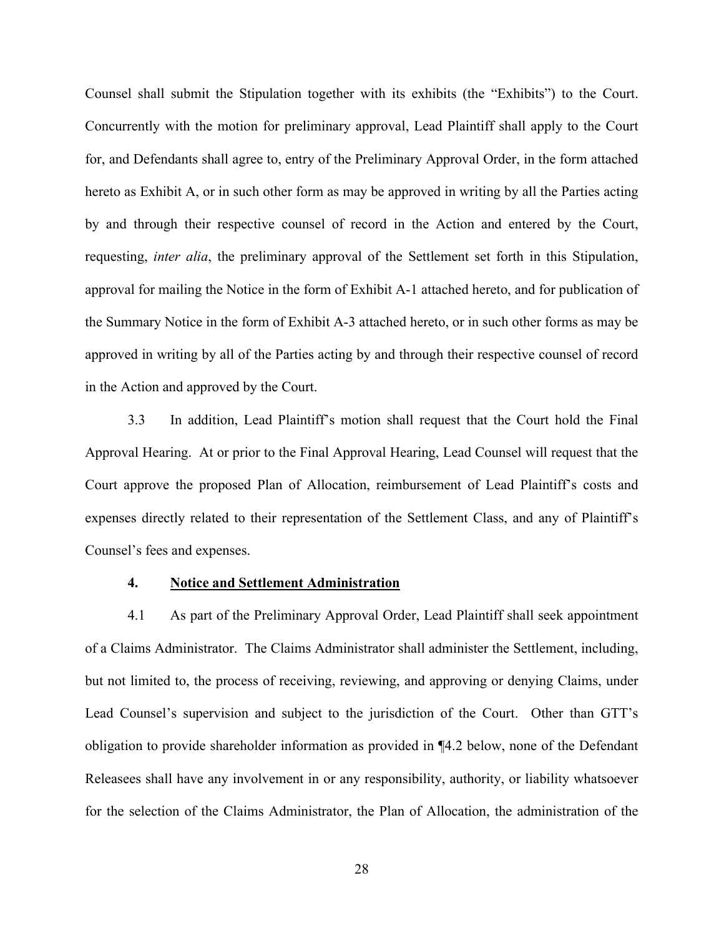Counsel shall submit the Stipulation together with its exhibits (the "Exhibits") to the Court. Concurrently with the motion for preliminary approval, Lead Plaintiff shall apply to the Court for, and Defendants shall agree to, entry of the Preliminary Approval Order, in the form attached hereto as Exhibit A, or in such other form as may be approved in writing by all the Parties acting by and through their respective counsel of record in the Action and entered by the Court, requesting, inter alia, the preliminary approval of the Settlement set forth in this Stipulation, approval for mailing the Notice in the form of Exhibit A-1 attached hereto, and for publication of the Summary Notice in the form of Exhibit A-3 attached hereto, or in such other forms as may be approved in writing by all of the Parties acting by and through their respective counsel of record in the Action and approved by the Court.

3.3 In addition, Lead Plaintiff's motion shall request that the Court hold the Final Approval Hearing. At or prior to the Final Approval Hearing, Lead Counsel will request that the Court approve the proposed Plan of Allocation, reimbursement of Lead Plaintiff's costs and expenses directly related to their representation of the Settlement Class, and any of Plaintiff's Counsel's fees and expenses. 1 for mailing the Notice in the form of Exhibit A-1 attached hereto, and for the mary Notice in the form of Exhibit A-3 attached hereto, or in such other for the matric ordin in writing by all of the Partics acting by and mary Notice in the form of Exhibit A-3 attached hereto, or in such other forms as may be<br>
ad in writing by all of the Parties acting by and through their respective counsel of record<br>
ation and approved by the Court.<br>
3.3

of a Claims Administrator. The Claims Administrator shall administer the Settlement, including, but not limited to, the process of receiving, reviewing, and approving or denying Claims, under Lead Counsel's supervision and subject to the jurisdiction of the Court. Other than GTT's obligation to provide shareholder information as provided in ¶4.2 below, none of the Defendant Releasees shall have any involvement in or any responsibility, authority, or liability whatsoever for the selection of the Claims Administrator, the Plan of Allocation, the administration of the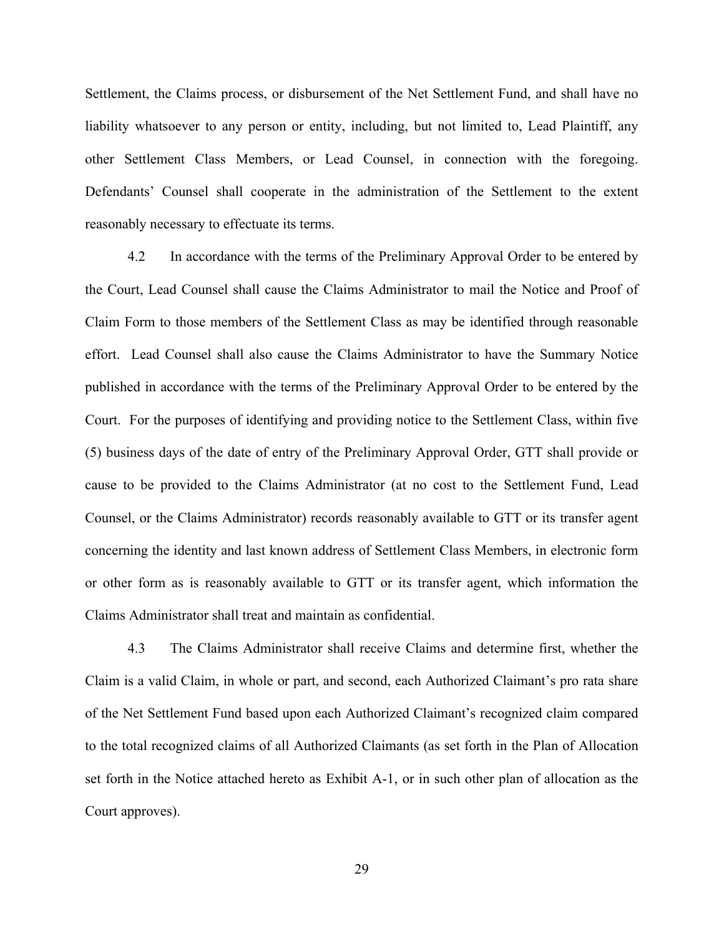Settlement, the Claims process, or disbursement of the Net Settlement Fund, and shall have no liability whatsoever to any person or entity, including, but not limited to, Lead Plaintiff, any other Settlement Class Members, or Lead Counsel, in connection with the foregoing. Defendants' Counsel shall cooperate in the administration of the Settlement to the extent reasonably necessary to effectuate its terms. ent, the Claims process, or disbursement of the Net Settlement Fund, and shall have no<br>
whatsoever to any person or entity, including, but not limited to, Lead Plaintiff, any<br>
Settlement Class Members, or Lead Counsel, in

the Court, Lead Counsel shall cause the Claims Administrator to mail the Notice and Proof of Claim Form to those members of the Settlement Class as may be identified through reasonable effort. Lead Counsel shall also cause the Claims Administrator to have the Summary Notice published in accordance with the terms of the Preliminary Approval Order to be entered by the Court. For the purposes of identifying and providing notice to the Settlement Class, within five other Settlement Class Members, or Lead Counsel, in connection with the foregoing.<br>Defendants' Counsel shall cooperate in the administration of the Settlement to the extent<br>reasonably necessary to effectuate its terms.<br>4.2 cause to be provided to the Claims Administrator (at no cost to the Settlement Fund, Lead Counsel, or the Claims Administrator) records reasonably available to GTT or its transfer agent concerning the identity and last known address of Settlement Class Members, in electronic form or other form as is reasonably available to GTT or its transfer agent, which information the Claims Administrator shall treat and maintain as confidential.

4.3 The Claims Administrator shall receive Claims and determine first, whether the Claim is a valid Claim, in whole or part, and second, each Authorized Claimant's pro rata share of the Net Settlement Fund based upon each Authorized Claimant's recognized claim compared to the total recognized claims of all Authorized Claimants (as set forth in the Plan of Allocation set forth in the Notice attached hereto as Exhibit A-1, or in such other plan of allocation as the Court approves).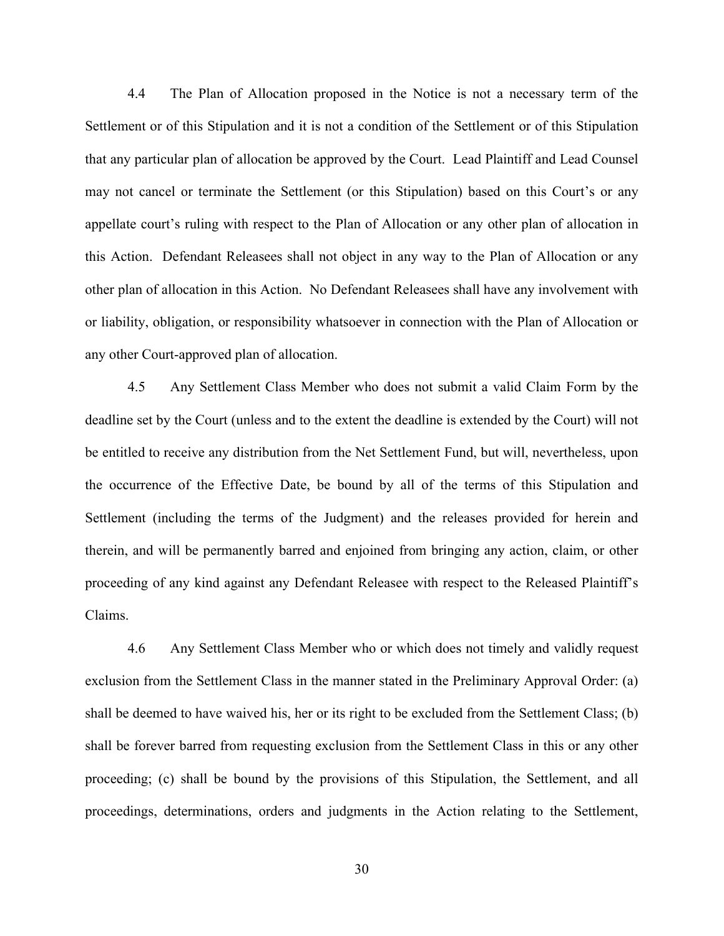4.4 The Plan of Allocation proposed in the Notice is not a necessary term of the<br>ent or of this Stipulation and it is not a condition of the Settlement or of this Stipulation<br>particular plan of allocation be approved by th Settlement or of this Stipulation and it is not a condition of the Settlement or of this Stipulation that any particular plan of allocation be approved by the Court. Lead Plaintiff and Lead Counsel may not cancel or terminate the Settlement (or this Stipulation) based on this Court's or any appellate court's ruling with respect to the Plan of Allocation or any other plan of allocation in this Action. Defendant Releasees shall not object in any way to the Plan of Allocation or any other plan of allocation in this Action. No Defendant Releasees shall have any involvement with or liability, obligation, or responsibility whatsoever in connection with the Plan of Allocation or any other Court-approved plan of allocation.

4.5 Any Settlement Class Member who does not submit a valid Claim Form by the deadline set by the Court (unless and to the extent the deadline is extended by the Court) will not be entitled to receive any distribution from the Net Settlement Fund, but will, nevertheless, upon the occurrence of the Effective Date, be bound by all of the terms of this Stipulation and Settlement (including the terms of the Judgment) and the releases provided for herein and therein, and will be permanently barred and enjoined from bringing any action, claim, or other proceeding of any kind against any Defendant Releasee with respect to the Released Plaintiff's Claims.

4.6 Any Settlement Class Member who or which does not timely and validly request exclusion from the Settlement Class in the manner stated in the Preliminary Approval Order: (a) shall be deemed to have waived his, her or its right to be excluded from the Settlement Class; (b) shall be forever barred from requesting exclusion from the Settlement Class in this or any other proceeding; (c) shall be bound by the provisions of this Stipulation, the Settlement, and all proceedings, determinations, orders and judgments in the Action relating to the Settlement,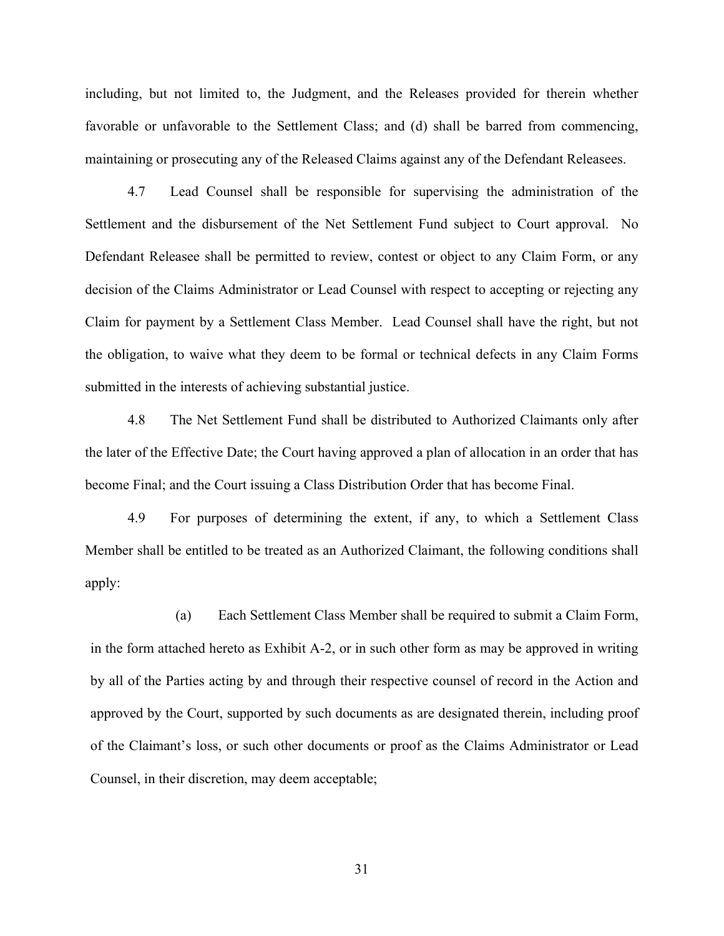including, but not limited to, the Judgment, and the Releases provided for therein whether favorable or unfavorable to the Settlement Class; and (d) shall be barred from commencing, maintaining or prosecuting any of the Released Claims against any of the Defendant Releasees.

1.4.7 Lead Counsel shall be responsible for the administration of the responsible or unfavorable to the Settlement Class; and (d) shall be barred from commencing, the presecuting any of the Released Claims against any of t Settlement and the disbursement of the Net Settlement Fund subject to Court approval. No Defendant Releasee shall be permitted to review, contest or object to any Claim Form, or any decision of the Claims Administrator or Lead Counsel with respect to accepting or rejecting any Claim for payment by a Settlement Class Member. Lead Counsel shall have the right, but not the obligation, to waive what they deem to be formal or technical defects in any Claim Forms submitted in the interests of achieving substantial justice. Ic or unfavorable to the Settlement Class; and (d) shall be barred from commencing,<br>ning or prosecuting any of the Released Claims against any of the Defendant Releasees.<br>4.7 Lead Counsel shall be responsible for supervisi ent and the disbursement of the Net Settlement Fund subject to Court approval. No<br>ant Releasee shall be permitted to review, contest or object to any Claim Form, or any<br>of the Claims Administrator or Lead Counsel with resp

the later of the Effective Date; the Court having approved a plan of allocation in an order that has become Final; and the Court issuing a Class Distribution Order that has become Final.

Member shall be entitled to be treated as an Authorized Claimant, the following conditions shall apply:

(a) Each Settlement Class Member shall be required to submit a Claim Form, in the form attached hereto as Exhibit A-2, or in such other form as may be approved in writing by all of the Parties acting by and through their respective counsel of record in the Action and approved by the Court, supported by such documents as are designated therein, including proof of the Claimant's loss, or such other documents or proof as the Claims Administrator or Lead Counsel, in their discretion, may deem acceptable;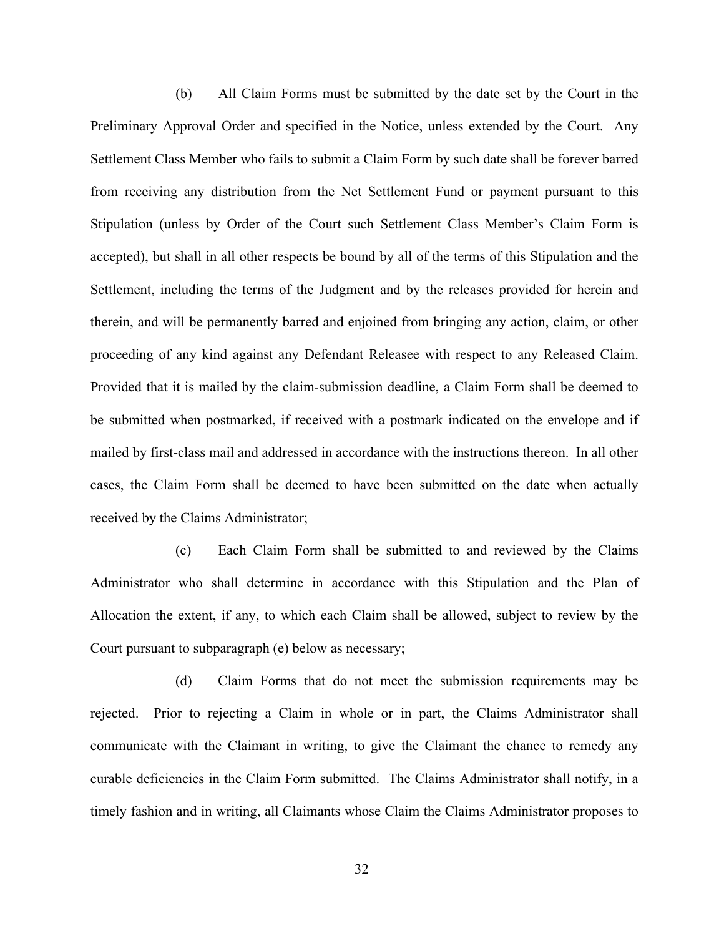(b) All Claim Forms must be submitted by the date set by the Court in the Preliminary Approval Order and specified in the Notice, unless extended by the Court. Any Settlement Class Member who fails to submit a Claim Form by such date shall be forever barred from receiving any distribution from the Net Settlement Fund or payment pursuant to this Stipulation (unless by Order of the Court such Settlement Class Member's Claim Form is accepted), but shall in all other respects be bound by all of the terms of this Stipulation and the Settlement, including the terms of the Judgment and by the releases provided for herein and therein, and will be permanently barred and enjoined from bringing any action, claim, or other proceeding of any kind against any Defendant Releasee with respect to any Released Claim. Provided that it is mailed by the claim-submission deadline, a Claim Form shall be deemed to be submitted when postmarked, if received with a postmark indicated on the envelope and if mailed by first-class mail and addressed in accordance with the instructions thereon. In all other cases, the Claim Form shall be deemed to have been submitted on the date when actually received by the Claims Administrator;

(c) Each Claim Form shall be submitted to and reviewed by the Claims Administrator who shall determine in accordance with this Stipulation and the Plan of Allocation the extent, if any, to which each Claim shall be allowed, subject to review by the Court pursuant to subparagraph (e) below as necessary;

(d) Claim Forms that do not meet the submission requirements may be rejected. Prior to rejecting a Claim in whole or in part, the Claims Administrator shall communicate with the Claimant in writing, to give the Claimant the chance to remedy any curable deficiencies in the Claim Form submitted. The Claims Administrator shall notify, in a timely fashion and in writing, all Claimants whose Claim the Claims Administrator proposes to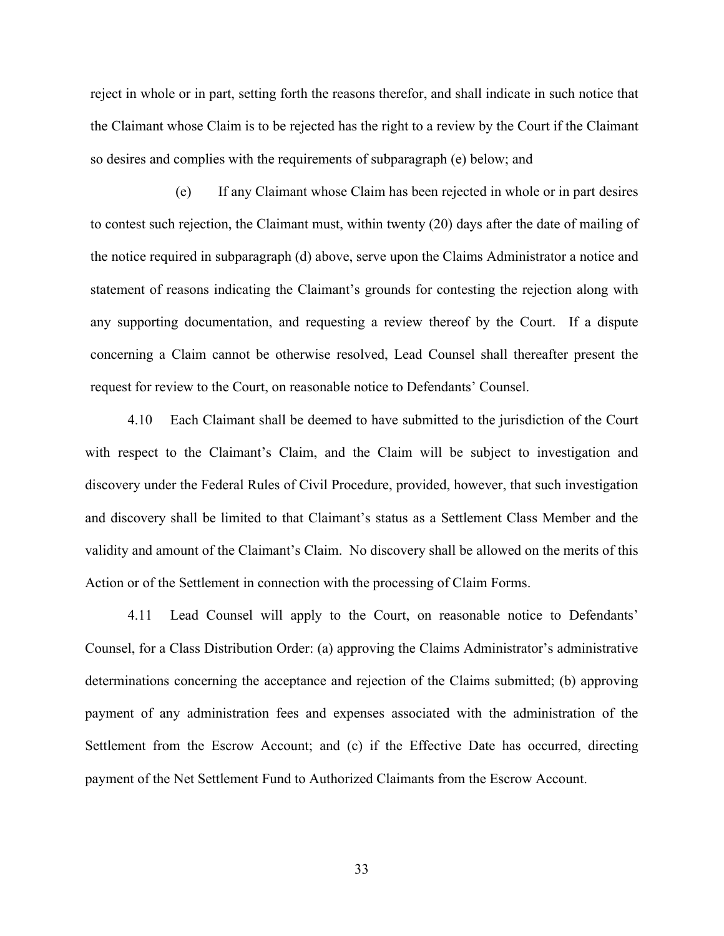reject in whole or in part, setting forth the reasons therefor, and shall indicate in such notice that the Claimant whose Claim is to be rejected has the right to a review by the Court if the Claimant so desires and complies with the requirements of subparagraph (e) below; and

(e) If any Claimant whose Claim has been rejected in whole or in part desires to contest such rejection, the Claimant must, within twenty (20) days after the date of mailing of the notice required in subparagraph (d) above, serve upon the Claims Administrator a notice and statement of reasons indicating the Claimant's grounds for contesting the rejection along with any supporting documentation, and requesting a review thereof by the Court. If a dispute concerning a Claim cannot be otherwise resolved, Lead Counsel shall thereafter present the request for review to the Court, on reasonable notice to Defendants' Counsel.

4.10 Each Claimant shall be deemed to have submitted to the jurisdiction of the Court with respect to the Claimant's Claim, and the Claim will be subject to investigation and discovery under the Federal Rules of Civil Procedure, provided, however, that such investigation and discovery shall be limited to that Claimant's status as a Settlement Class Member and the validity and amount of the Claimant's Claim. No discovery shall be allowed on the merits of this Action or of the Settlement in connection with the processing of Claim Forms.

4.11 Lead Counsel will apply to the Court, on reasonable notice to Defendants' Counsel, for a Class Distribution Order: (a) approving the Claims Administrator's administrative determinations concerning the acceptance and rejection of the Claims submitted; (b) approving payment of any administration fees and expenses associated with the administration of the Settlement from the Escrow Account; and (c) if the Effective Date has occurred, directing payment of the Net Settlement Fund to Authorized Claimants from the Escrow Account.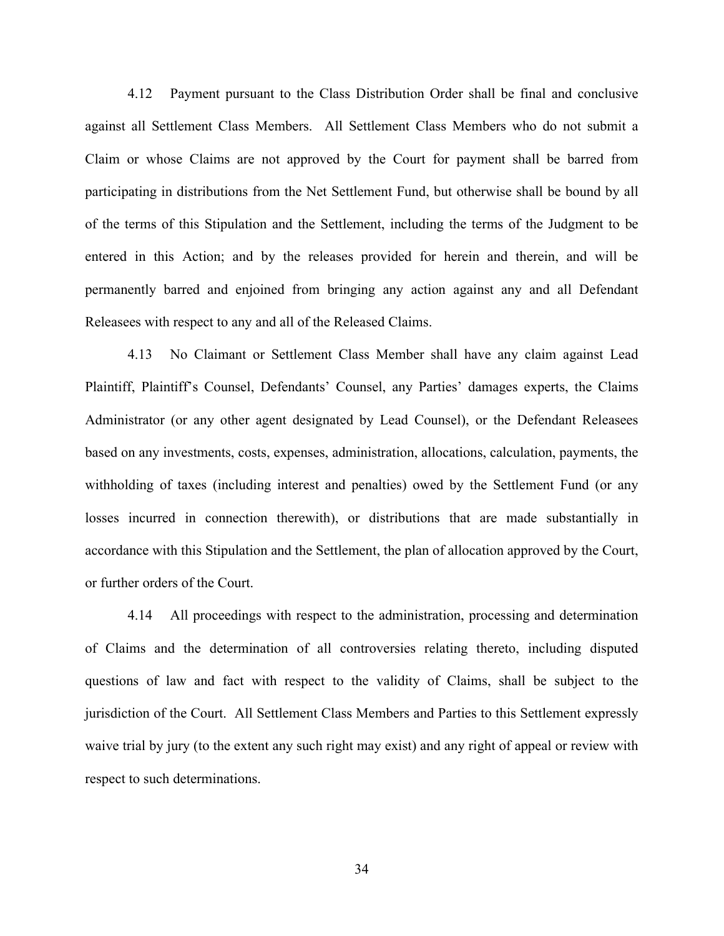4.12 Payment pursuant to the Class Distribution Order shall be final and conclusive<br>all Settlement Class Members. All Settlement Class Members who do not submit a<br>or whose Claims are not approved by the Court for payment s against all Settlement Class Members. All Settlement Class Members who do not submit a Claim or whose Claims are not approved by the Court for payment shall be barred from participating in distributions from the Net Settlement Fund, but otherwise shall be bound by all of the terms of this Stipulation and the Settlement, including the terms of the Judgment to be entered in this Action; and by the releases provided for herein and therein, and will be permanently barred and enjoined from bringing any action against any and all Defendant Releasees with respect to any and all of the Released Claims. 4.12 Payment pursuant to the Class Distribution Order shall be final and conclusive<br>all Settlement Class Members. All Settlement Class Members who do not submit a<br>or whose Claims are not approved by the Court for payment s

Plaintiff, Plaintiff's Counsel, Defendants' Counsel, any Parties' damages experts, the Claims Administrator (or any other agent designated by Lead Counsel), or the Defendant Releasees based on any investments, costs, expenses, administration, allocations, calculation, payments, the withholding of taxes (including interest and penalties) owed by the Settlement Fund (or any losses incurred in connection therewith), or distributions that are made substantially in accordance with this Stipulation and the Settlement, the plan of allocation approved by the Court, or further orders of the Court. ity and all of the Released Claims.<br>
4.13 No Claimant or Settlement Class Member shall have any claim against Lead<br>
4.13 No Claimant or Settlement Class Member shall have any claim against Lead<br>
5. Plaintiff's Counsel, Def

of Claims and the determination of all controversies relating thereto, including disputed questions of law and fact with respect to the validity of Claims, shall be subject to the jurisdiction of the Court. All Settlement Class Members and Parties to this Settlement expressly waive trial by jury (to the extent any such right may exist) and any right of appeal or review with respect to such determinations.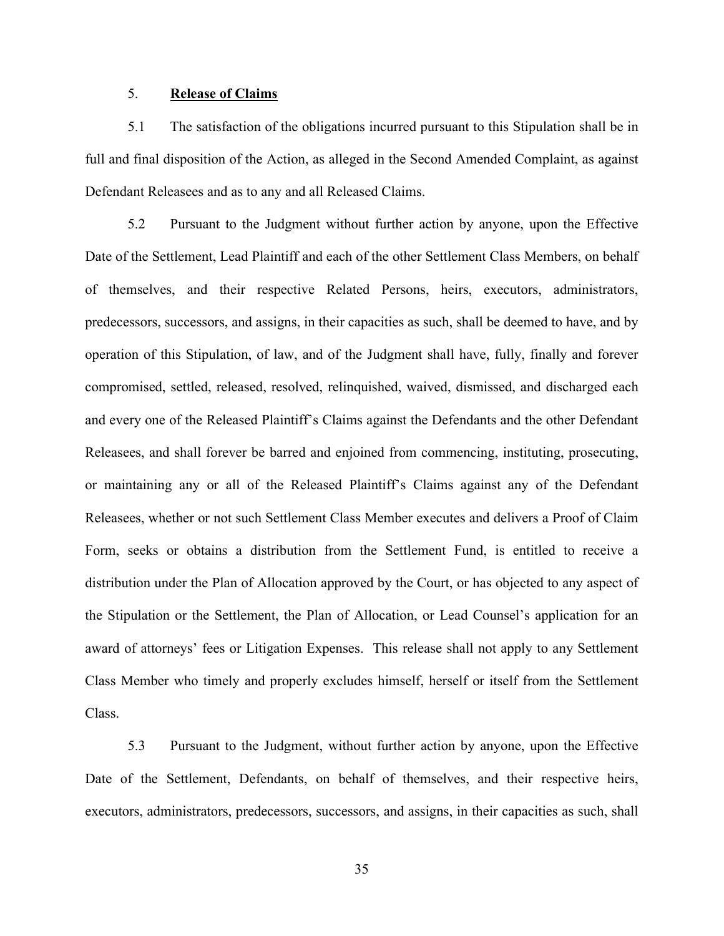# 5. Release of Claims

5.1 **Release of Claims**<br>5.1 The satisfaction of the obligations incurred pursuant to this Stipulation shall be in<br>1 final disposition of the Action, as alleged in the Second Amended Complaint, as against<br>1 ant Releasees an full and final disposition of the Action, as alleged in the Second Amended Complaint, as against Defendant Releasees and as to any and all Released Claims.

5.<br> **Example 3.1** The satisfaction of the obligations incurred pursuant to this Stipulation shall be in<br>
1 final disposition of the Action, as alleged in the Second Amended Complaint, as against<br>
1 ant Releasees and as to Date of the Settlement, Lead Plaintiff and each of the other Settlement Class Members, on behalf of themselves, and their respective Related Persons, heirs, executors, administrators, predecessors, successors, and assigns, in their capacities as such, shall be deemed to have, and by operation of this Stipulation, of law, and of the Judgment shall have, fully, finally and forever compromised, settled, released, resolved, relinquished, waived, dismissed, and discharged each and every one of the Released Plaintiff's Claims against the Defendants and the other Defendant Releasees, and shall forever be barred and enjoined from commencing, instituting, prosecuting, Defendant Releasees and as to any and all Released Claims.<br>
5.2 Pursuant to the Judgment without further action by anyone, upon the Effective<br>
Date of the Settlement, Lead Plaintiff and each of the other Settlement Class M Releasees, whether or not such Settlement Class Member executes and delivers a Proof of Claim Form, seeks or obtains a distribution from the Settlement Fund, is entitled to receive a distribution under the Plan of Allocation approved by the Court, or has objected to any aspect of the Stipulation or the Settlement, the Plan of Allocation, or Lead Counsel's application for an award of attorneys' fees or Litigation Expenses. This release shall not apply to any Settlement Class Member who timely and properly excludes himself, herself or itself from the Settlement Class.

5.3 Pursuant to the Judgment, without further action by anyone, upon the Effective Date of the Settlement, Defendants, on behalf of themselves, and their respective heirs, executors, administrators, predecessors, successors, and assigns, in their capacities as such, shall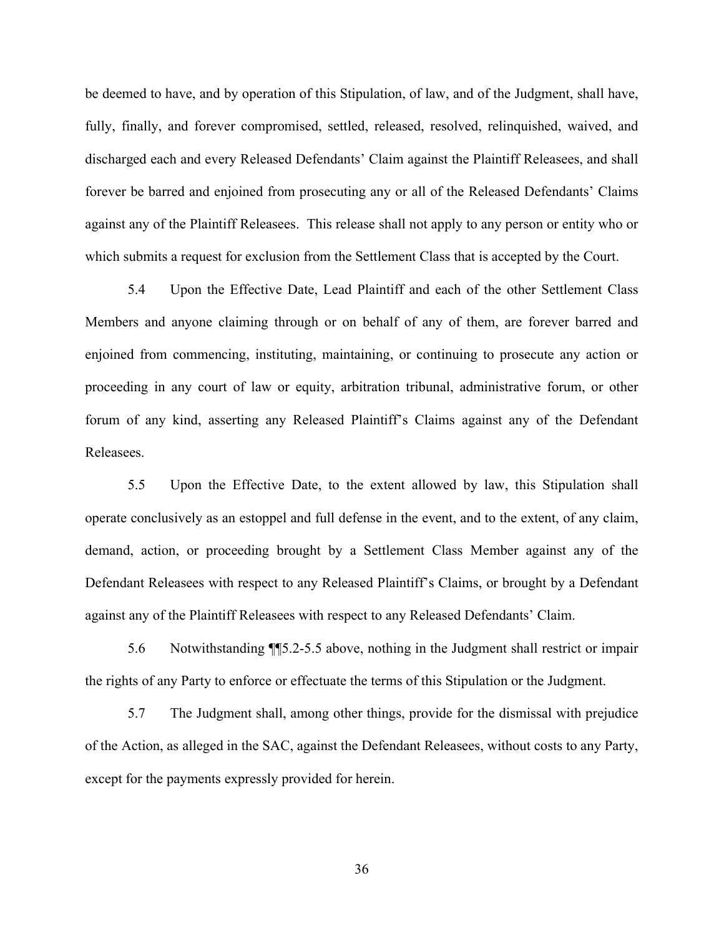be deemed to have, and by operation of this Stipulation, of law, and of the Judgment, shall have, fully, finally, and forever compromised, settled, released, resolved, relinquished, waived, and discharged each and every Released Defendants' Claim against the Plaintiff Releasees, and shall forever be barred and enjoined from prosecuting any or all of the Released Defendants' Claims be deemed to have, and by operation of this Stipulation, of law, and of the Judgment, shall have, fully, finally, and forever compromised, settled, released, resolved, relinquished, waived, and discharged each and every Re which submits a request for exclusion from the Settlement Class that is accepted by the Court.

5.4 Upon the Effective Date, Lead Plaintiff and each of the other Settlement Class Members and anyone claiming through or on behalf of any of them, are forever barred and enjoined from commencing, instituting, maintaining, or continuing to prosecute any action or proceeding in any court of law or equity, arbitration tribunal, administrative forum, or other forum of any kind, asserting any Released Plaintiff's Claims against any of the Defendant Releasees.

5.5 Upon the Effective Date, to the extent allowed by law, this Stipulation shall operate conclusively as an estoppel and full defense in the event, and to the extent, of any claim, demand, action, or proceeding brought by a Settlement Class Member against any of the Defendant Releasees with respect to any Released Plaintiff's Claims, or brought by a Defendant against any of the Plaintiff Releasees with respect to any Released Defendants' Claim. d from commencing, instituting, maintaining, or continuing to prosecute any action or<br>ling in any court of law or equity, arbitration tribunal, administrative forum, or other<br>of any kind, asserting any Released Plaintiff's of any kind, asserting any Released Plaintiff's Claims against any of the Defendant<br>
Ecs.<br>
5.5 Upon the Effective Date, to the extent allowed by law, this Stipulation shall<br>
conclusively as an estoppel and full defense in

the rights of any Party to enforce or effectuate the terms of this Stipulation or the Judgment.

of the Action, as alleged in the SAC, against the Defendant Releasees, without costs to any Party, except for the payments expressly provided for herein.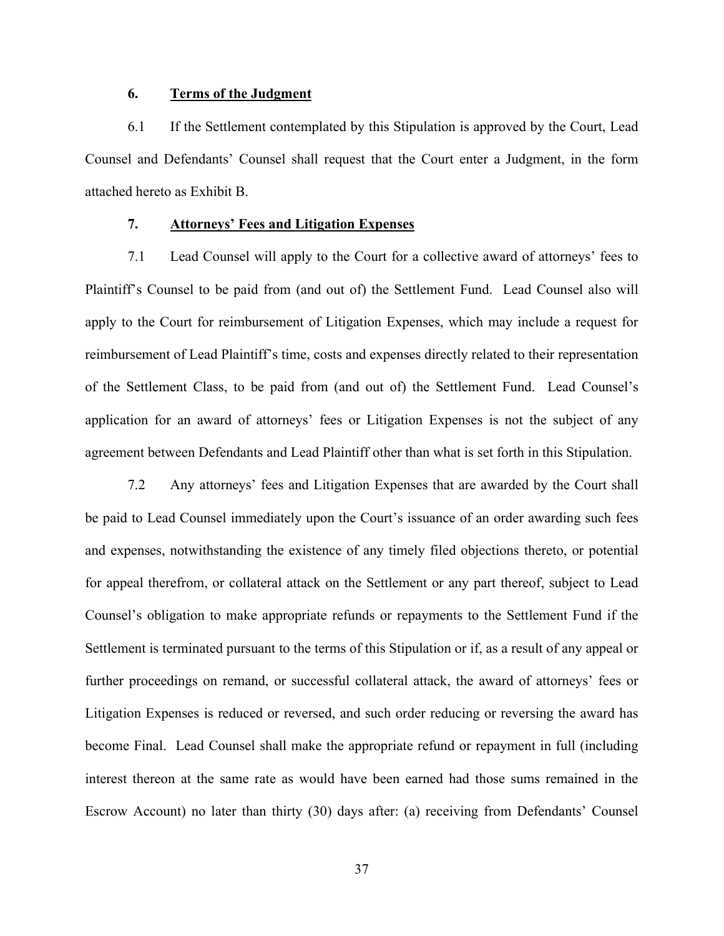## 6. Terms of the Judgment

6. Terms of the Judgment<br>6.1 If the Settlement contemplated by this Stipulation is approved by the Court, Lead<br>1 and Defendants' Counsel shall request that the Court enter a Judgment, in the form<br>4 hereto as Exhibit B. Counsel and Defendants' Counsel shall request that the Court enter a Judgment, in the form attached hereto as Exhibit B.

## 7. Attorneys' Fees and Litigation Expenses

The Schiff and Defendants<sup>3</sup> Counsel shall request that the Court enter a Judgment, in the form<br>1 and Defendants<sup>3</sup> Counsel shall request that the Court enter a Judgment, in the form<br>1 hereto as Exhibit B.<br>7.1 Lead Counsel Plaintiff's Counsel to be paid from (and out of) the Settlement Fund. Lead Counsel also will apply to the Court for reimbursement of Litigation Expenses, which may include a request for reimbursement of Lead Plaintiff's time, costs and expenses directly related to their representation of the Settlement Class, to be paid from (and out of) the Settlement Fund. Lead Counsel's application for an award of attorneys' fees or Litigation Expenses is not the subject of any agreement between Defendants and Lead Plaintiff other than what is set forth in this Stipulation. Thereto as Exhibit B.<br>
7.1 Lead Counsel will apply to the Court for a collective award of attorneys' fees to<br>
7.1 Lead Counsel will apply to the Court for a collective award of attorneys' fees to<br>
7.8 Counsel to be paid fr 7. **Attorneys' Fees and Litigation Expenses**<br>7.1 Lead Counsel will apply to the Court for a collective award of attorneys' fees to<br>Plaintiff's Counsel to be paid from (and out of) the Settlement Fund. Lead Counsel also wil

and expenses, notwithstanding the existence of any timely filed objections thereto, or potential for appeal therefrom, or collateral attack on the Settlement or any part thereof, subject to Lead Counsel's obligation to make appropriate refunds or repayments to the Settlement Fund if the reimbursement of Lead Plaintiff's time, costs and expenses directly related to their representation<br>of the Settlement Class, to be paid from (and out of) the Settlement Fund. Lead Counsel's<br>application for an award of atto further proceedings on remand, or successful collateral attack, the award of attorneys' fees or Litigation Expenses is reduced or reversed, and such order reducing or reversing the award has become Final. Lead Counsel shall make the appropriate refund or repayment in full (including interest thereon at the same rate as would have been earned had those sums remained in the Escrow Account) no later than thirty (30) days after: (a) receiving from Defendants' Counsel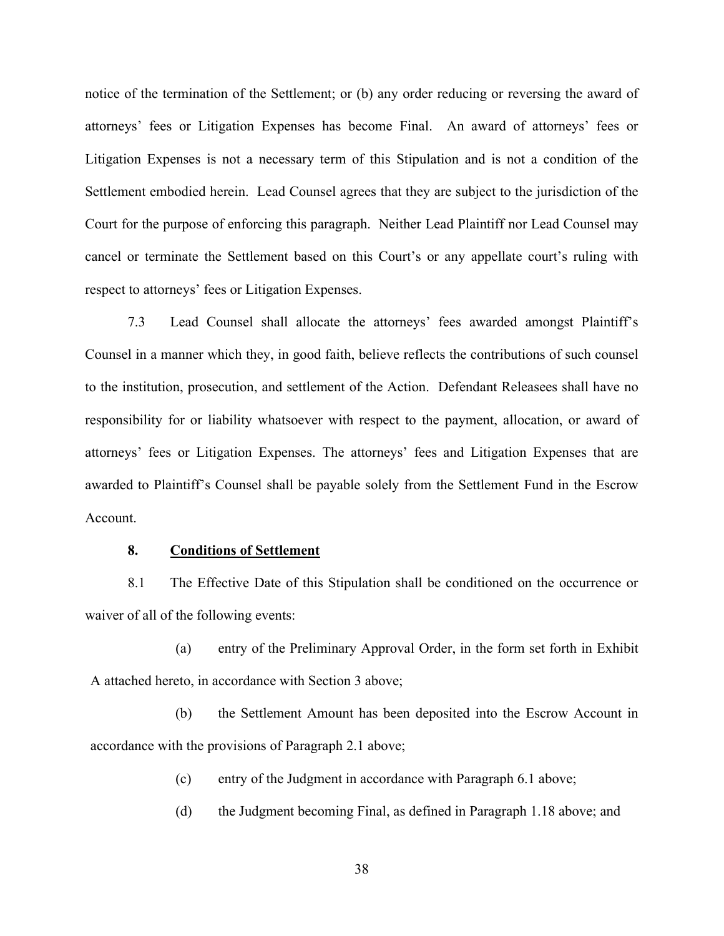notice of the termination of the Settlement; or (b) any order reducing or reversing the award of attorneys' fees or Litigation Expenses has become Final. An award of attorneys' fees or Litigation Expenses is not a necessary term of this Stipulation and is not a condition of the Settlement embodied herein. Lead Counsel agrees that they are subject to the jurisdiction of the Court for the purpose of enforcing this paragraph. Neither Lead Plaintiff nor Lead Counsel may cancel or terminate the Settlement based on this Court's or any appellate court's ruling with respect to attorneys' fees or Litigation Expenses.

7.3 Lead Counsel shall allocate the attorneys' fees awarded amongst Plaintiff's Counsel in a manner which they, in good faith, believe reflects the contributions of such counsel to the institution, prosecution, and settlement of the Action. Defendant Releasees shall have no responsibility for or liability whatsoever with respect to the payment, allocation, or award of attorneys' fees or Litigation Expenses. The attorneys' fees and Litigation Expenses that are awarded to Plaintiff's Counsel shall be payable solely from the Settlement Fund in the Escrow Account. 1.1 The Effective Date of this Stipulation Fayle order, in the form set of this Effective Date on the Date of this Divideo on the Cluster of the Contributions of such counsel and still in a manner which they, in good faith mner which they, in good faith, believe reflects the contributions of such counsel<br>
1, prosecution, and settlement of the Action. Defendant Releasees shall have no<br>
or or liability whatsoever with respect to the payment, a or or liability whatsoever with respect to the payment, allocation, or award of<br>or Litigation Expenses. The attorneys' fees and Litigation Expenses that are<br>ntiff's Counsel shall be payable solely from the Settlement Fund Intif<sup>th</sup>'s Counsel shall be payable solely from the Settlement Fund in the Escrow<br>
Conditions of Settlement<br>
The Effective Date of this Stipulation shall be conditioned on the occurrence or<br>
the following events:<br>
(a) ent

### 8. Conditions of Settlement

waiver of all of the following events:

A attached hereto, in accordance with Section 3 above;

accordance with the provisions of Paragraph 2.1 above; (a) Conditions of Settlement<br>
The Effective Date of this Stipulation shall be conditioned on the occurrence or<br>
the following events:<br>
(a) entry of the Preliminary Approval Order, in the form set forth in Exhibit<br>
(b) the

- 
-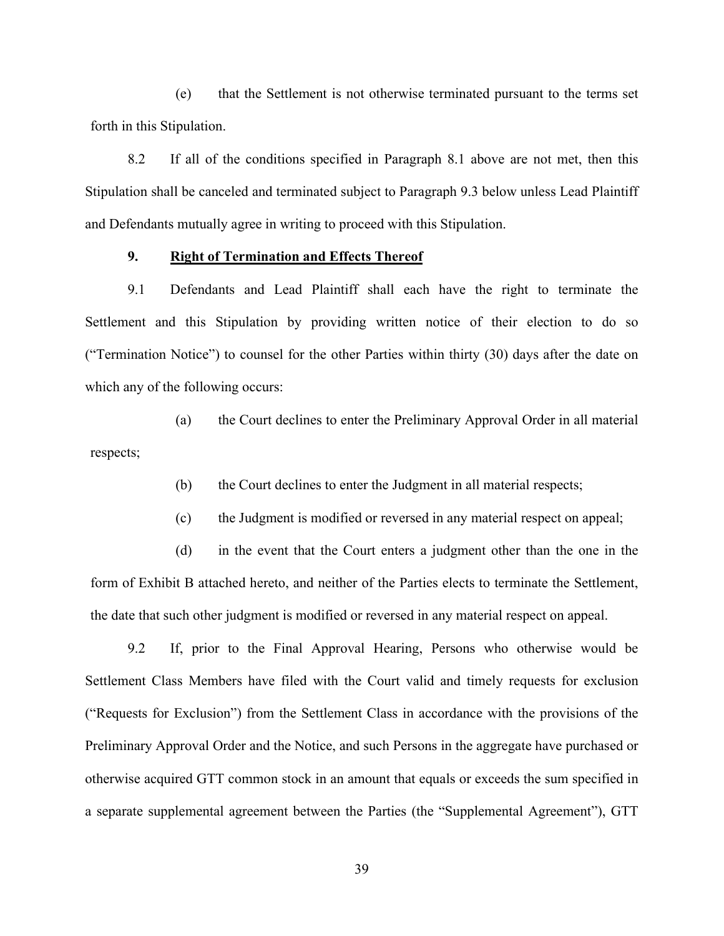(e) that the Settlement is not otherwise terminated pursuant to the terms set forth in this Stipulation.

8.2 If all of the conditions specified in Paragraph 8.1 above are not met, then this stipulation.<br>8.2 If all of the conditions specified in Paragraph 8.1 above are not met, then this sion shall be canceled and terminated s Stipulation shall be canceled and terminated subject to Paragraph 9.3 below unless Lead Plaintiff and Defendants mutually agree in writing to proceed with this Stipulation.

## 9. Right of Termination and Effects Thereof

9.1 Defendants and Lead Plaintiff shall each have the right of the right to the right to the right this Stipulation.<br>9.2 If all of the conditions specified in Paragraph 8.1 above are not met, then this sion shall be cancel Settlement and this Stipulation by providing written notice of their election to do so ("Termination Notice") to counsel for the other Parties within thirty (30) days after the date on which any of the following occurs:

(a) the Court declines to enter the Preliminary Approval Order in all material respects;

(b) the Court declines to enter the Judgment in all material respects;

(c) the Judgment is modified or reversed in any material respect on appeal;

(d) in the event that the Court enters a judgment other than the one in the form of Exhibit B attached hereto, and neither of the Parties elects to terminate the Settlement, the date that such other judgment is modified or reversed in any material respect on appeal.

ination Notice") to counsel for the other Parties within thirty (30) days after the date on<br>the following occurs:<br>(a) the Court declines to enter the Preliminary Approval Order in all material<br>s;<br>(b) the Court declines to Settlement Class Members have filed with the Court valid and timely requests for exclusion ("Requests for Exclusion") from the Settlement Class in accordance with the provisions of the Preliminary Approval Order and the Notice, and such Persons in the aggregate have purchased or (b) the Court declines to enter the Judgment in all material respects;<br>
(c) the Judgment is modified or reversed in any material respect on appeal;<br>
(d) in the event that the Court enters a judgment other than the one in t a separate supplemental agreement between the Parties (the "Supplemental Agreement"), GTT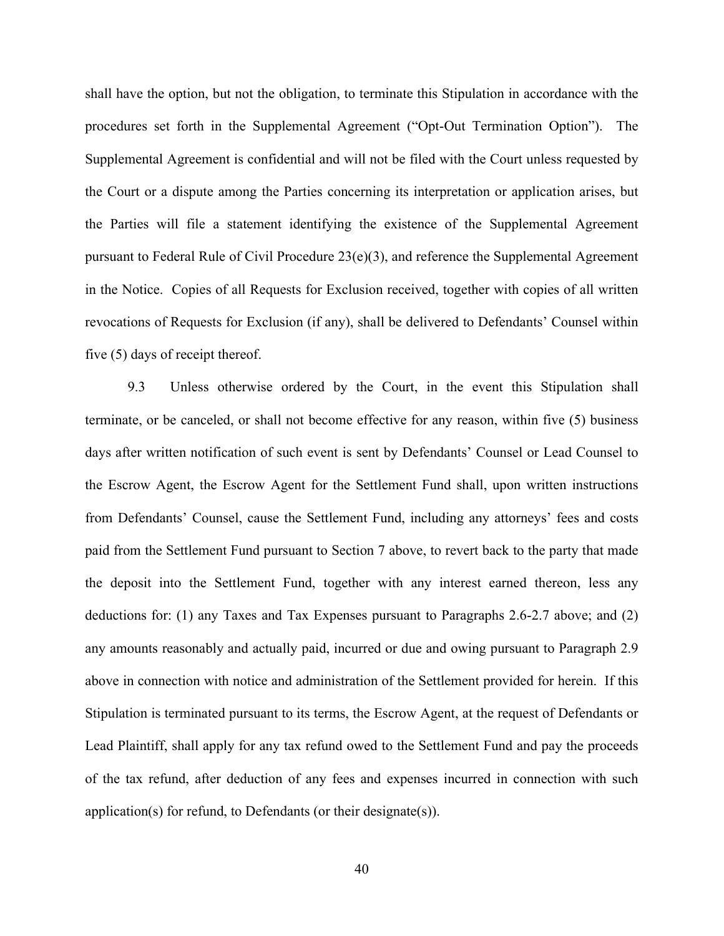shall have the option, but not the obligation, to terminate this Stipulation in accordance with the procedures set forth in the Supplemental Agreement ("Opt-Out Termination Option"). The Supplemental Agreement is confidential and will not be filed with the Court unless requested by the Court or a dispute among the Parties concerning its interpretation or application arises, but the Parties will file a statement identifying the existence of the Supplemental Agreement pursuant to Federal Rule of Civil Procedure 23(e)(3), and reference the Supplemental Agreement in the Notice. Copies of all Requests for Exclusion received, together with copies of all written revocations of Requests for Exclusion (if any), shall be delivered to Defendants' Counsel within five (5) days of receipt thereof.

9.3 Unless otherwise ordered by the Court, in the event this Stipulation shall terminate, or be canceled, or shall not become effective for any reason, within five (5) business days after written notification of such event is sent by Defendants' Counsel or Lead Counsel to the Escrow Agent, the Escrow Agent for the Settlement Fund shall, upon written instructions from Defendants' Counsel, cause the Settlement Fund, including any attorneys' fees and costs paid from the Settlement Fund pursuant to Section 7 above, to revert back to the party that made the deposit into the Settlement Fund, together with any interest earned thereon, less any deductions for: (1) any Taxes and Tax Expenses pursuant to Paragraphs 2.6-2.7 above; and (2) any amounts reasonably and actually paid, incurred or due and owing pursuant to Paragraph 2.9 above in connection with notice and administration of the Settlement provided for herein. If this Stipulation is terminated pursuant to its terms, the Escrow Agent, at the request of Defendants or Lead Plaintiff, shall apply for any tax refund owed to the Settlement Fund and pay the proceeds of the tax refund, after deduction of any fees and expenses incurred in connection with such application(s) for refund, to Defendants (or their designate(s)).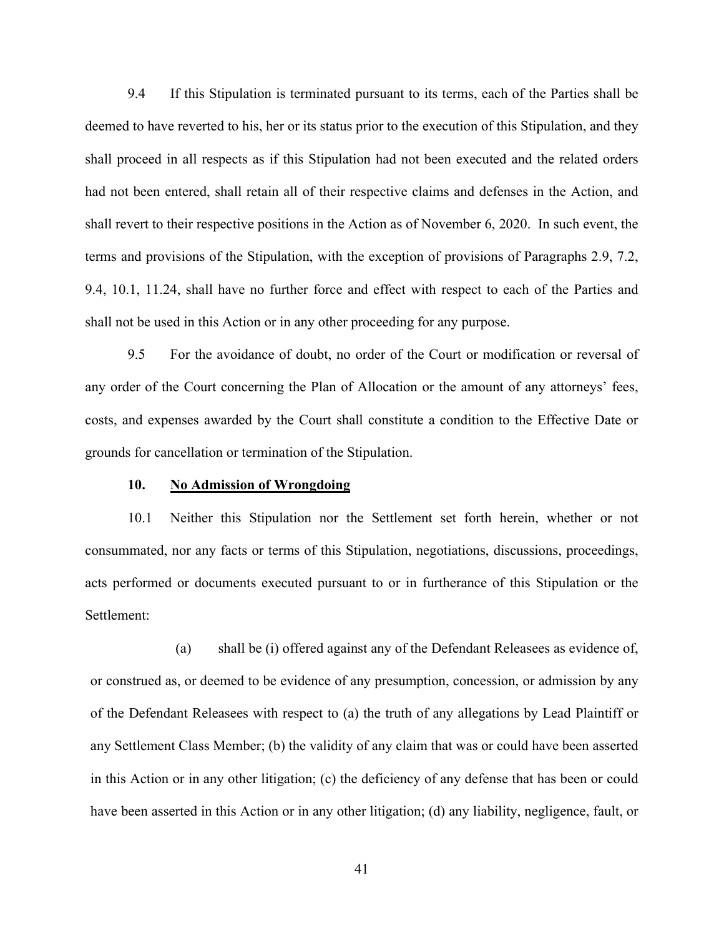9.4 If this Stipulation is terminated pursuant to its terms, each of the Parties shall be<br>1 to have reverted to his, her or its status prior to the execution of this Stipulation, and they<br>oceed in all respects as if this S deemed to have reverted to his, her or its status prior to the execution of this Stipulation, and they shall proceed in all respects as if this Stipulation had not been executed and the related orders had not been entered, shall retain all of their respective claims and defenses in the Action, and shall revert to their respective positions in the Action as of November 6, 2020. In such event, the terms and provisions of the Stipulation, with the exception of provisions of Paragraphs 2.9, 7.2, 9.4, 10.1, 11.24, shall have no further force and effect with respect to each of the Parties and shall not be used in this Action or in any other proceeding for any purpose. the been entered, shall retain all of their respective claims and defenses in the vert to their respective positions in the Action as of November 6, 2020. In s<br>nd provisions of the Stipulation, with the exception of provis vert to their respective positions in the Action as of November 6, 2020. In such event, the<br>nd provisions of the Stipulation, with the exception of provisions of Paragraphs 2.9, 7.2,<br>1, 11.24, shall have no further force a

9.5 For the avoidance of doubt, no order of the Court or modification or reversal of any order of the Court concerning the Plan of Allocation or the amount of any attorneys' fees, costs, and expenses awarded by the Court shall constitute a condition to the Effective Date or grounds for cancellation or termination of the Stipulation. (b) So the avoidance of doubt, no order of the Court or modification or reversal of<br>
court concerning the Plan of Allocation or the amount of any attorneys' fees,<br>
shall constrained by the Court shall constitute a conditio

consummated, nor any facts or terms of this Stipulation, negotiations, discussions, proceedings, acts performed or documents executed pursuant to or in furtherance of this Stipulation or the Settlement:

order of the Court concerning the Plan of Allocation or the amount of any attorneys' fees,<br>
sosts, and expenses awarded by the Court shall constitute a condition to the Effective Date or<br>
rounds for cancellation or termina osts, and expenses awarded by the Court shall constitute a condition to the Effective Date or<br>rounds for cancellation or termination of the Stipulation.<br>10. **No Admission of Wrongdoing**<br>10.1 Neither this Stipulation nor th any Settlement Class Member; (b) the validity of any claim that was or could have been asserted in this Action or the validation and the validation, negotiations, discussions, proceedings, the original or documents execute in this Action or in any other litigation; (c) the deficiency of any defense that has been or could have been asserted in this Action or in any other litigation; (d) any liability, negligence, fault, or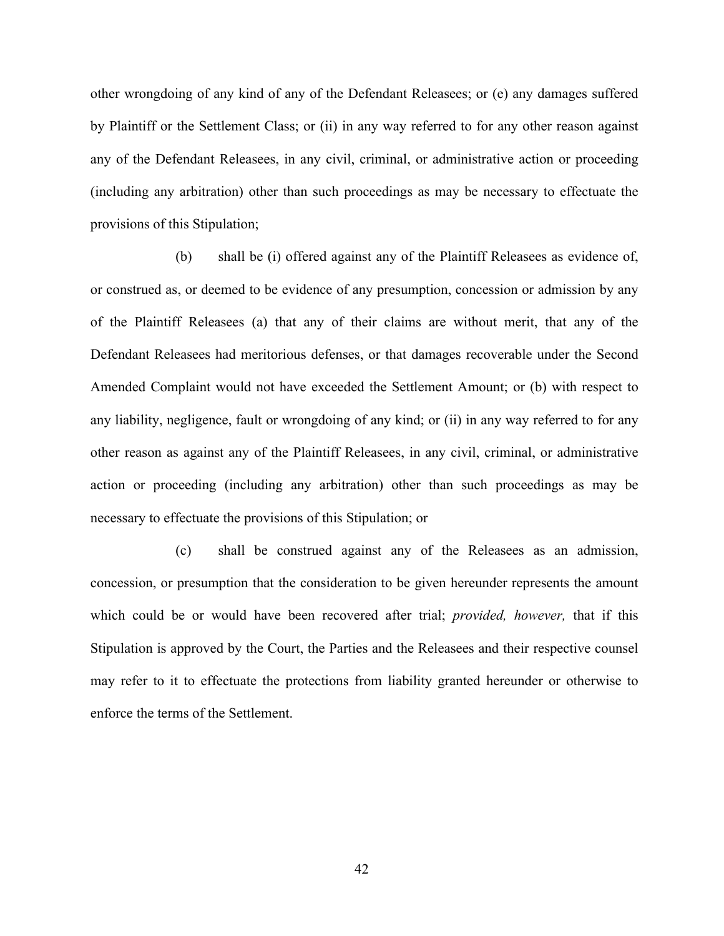other wrongdoing of any kind of any of the Defendant Releasees; or (e) any damages suffered<br>by Plaintiff or the Settlement Class; or (ii) in any way referred to for any other reason against<br>any of the Defendant Releasees, by Plaintiff or the Settlement Class; or (ii) in any way referred to for any other reason against any of the Defendant Releasees, in any civil, criminal, or administrative action or proceeding (including any arbitration) other than such proceedings as may be necessary to effectuate the provisions of this Stipulation;

(b) shall be (i) offered against any of the Plaintiff Releasees as evidence of, or construed as, or deemed to be evidence of any presumption, concession or admission by any of the Plaintiff Releasees (a) that any of their claims are without merit, that any of the Defendant Releasees had meritorious defenses, or that damages recoverable under the Second Amended Complaint would not have exceeded the Settlement Amount; or (b) with respect to any liability, negligence, fault or wrongdoing of any kind; or (ii) in any way referred to for any other reason as against any of the Plaintiff Releasees, in any civil, criminal, or administrative action or proceeding (including any arbitration) other than such proceedings as may be necessary to effectuate the provisions of this Stipulation; or

(c) shall be construed against any of the Releasees as an admission, concession, or presumption that the consideration to be given hereunder represents the amount which could be or would have been recovered after trial; *provided, however*, that if this Stipulation is approved by the Court, the Parties and the Releasees and their respective counsel may refer to it to effectuate the protections from liability granted hereunder or otherwise to enforce the terms of the Settlement.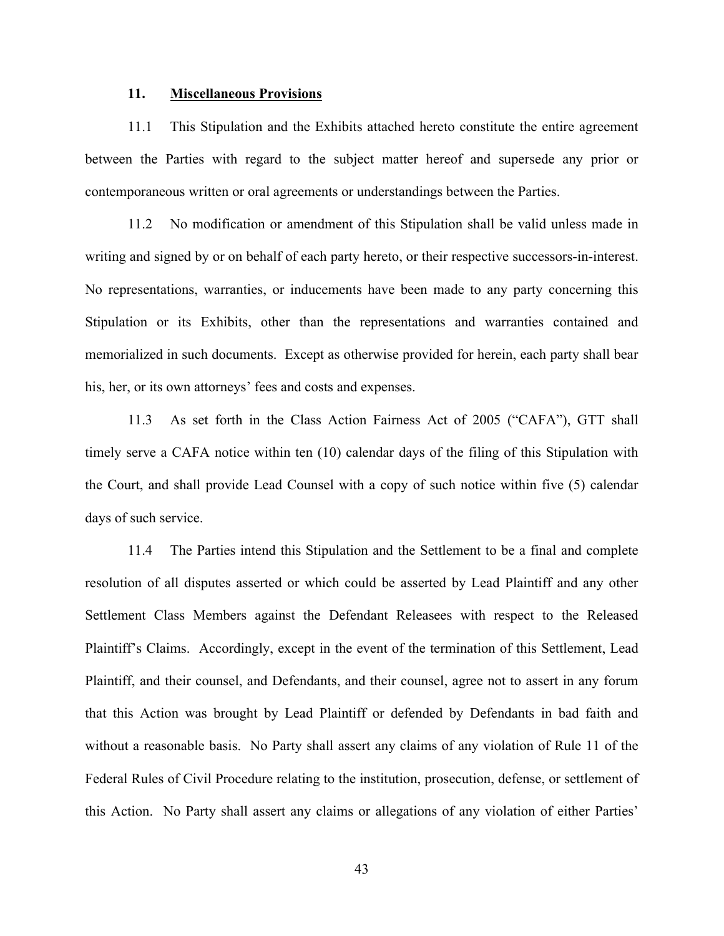11. Miscellaneous Provisions<br>
11.1 This Stipulation and the Exhibits attached hereto constitute the ent<br>
11.1 This Stipulation and the Exhibits attached hereto constitute the ent<br>
11.1 This Stipulation and the Subject matt 11.1 **Miscellaneous Provisions**<br>11.1 This Stipulation and the Exhibits attached hereto constitute the entire agreement<br>11.1 This Stipulation and the subject matter hereof and supersede any prior or<br>11.1 This Stipulation or between the Parties with regard to the subject matter hereof and supersede any prior or contemporaneous written or oral agreements or understandings between the Parties.

11. **Miscellaneous Provisions**<br>
11.1 This Stipulation and the Exhibits attached hereto constitute the entire agreement<br>
11.2 No modification or amendment of this Stipulation shall be valid unless made in<br>
11.2 No modificat writing and signed by or on behalf of each party hereto, or their respective successors-in-interest. No representations, warranties, or inducements have been made to any party concerning this Stipulation or its Exhibits, other than the representations and warranties contained and memorialized in such documents. Except as otherwise provided for herein, each party shall bear his, her, or its own attorneys' fees and costs and expenses.

11.3 As set forth in the Class Action Fairness Act of 2005 ("CAFA"), GTT shall timely serve a CAFA notice within ten (10) calendar days of the filing of this Stipulation with the Court, and shall provide Lead Counsel with a copy of such notice within five (5) calendar days of such service.

11.4 The Parties intend this Stipulation and the Settlement to be a final and complete resolution of all disputes asserted or which could be asserted by Lead Plaintiff and any other Settlement Class Members against the Defendant Releasees with respect to the Released Plaintiff's Claims. Accordingly, except in the event of the termination of this Settlement, Lead Plaintiff, and their counsel, and Defendants, and their counsel, agree not to assert in any forum that this Action was brought by Lead Plaintiff or defended by Defendants in bad faith and without a reasonable basis. No Party shall assert any claims of any violation of Rule 11 of the Federal Rules of Civil Procedure relating to the institution, prosecution, defense, or settlement of this Action. No Party shall assert any claims or allegations of any violation of either Parties'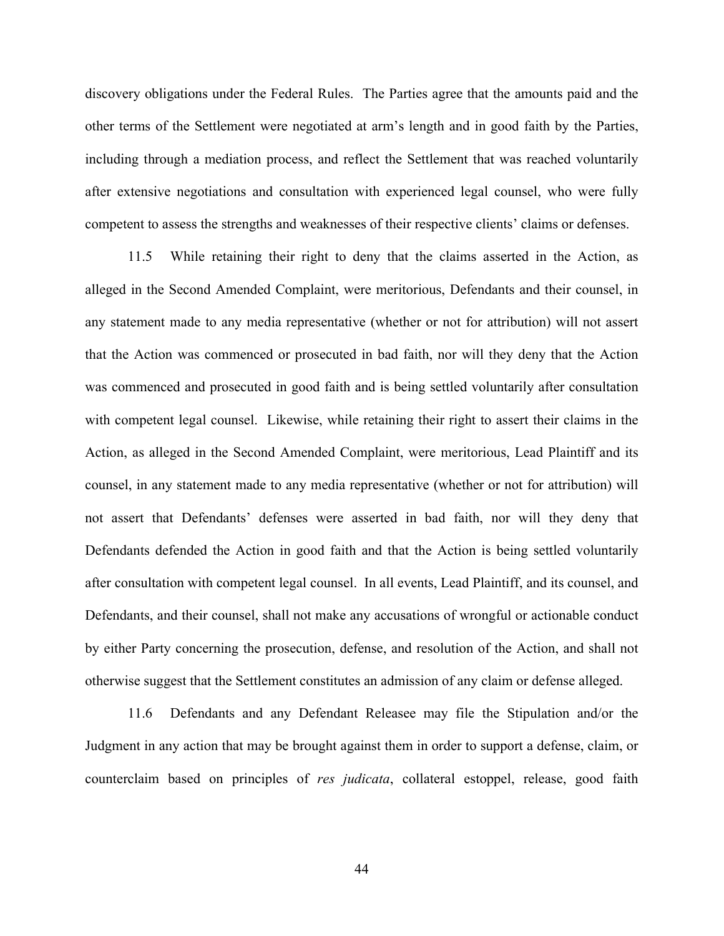discovery obligations under the Federal Rules. The Parties agree that the amounts paid and the other terms of the Settlement were negotiated at arm's length and in good faith by the Parties, including through a mediation process, and reflect the Settlement that was reached voluntarily after extensive negotiations and consultation with experienced legal counsel, who were fully competent to assess the strengths and weaknesses of their respective clients' claims or defenses. ry obligations under the Federal Rules. The Parties agree that the amounts paid and the<br>trms of the Settlement were negotiated at arm's length and in good faith by the Parties,<br>ng through a mediation process, and reflect t

alleged in the Second Amended Complaint, were meritorious, Defendants and their counsel, in any statement made to any media representative (whether or not for attribution) will not assert that the Action was commenced or prosecuted in bad faith, nor will they deny that the Action was commenced and prosecuted in good faith and is being settled voluntarily after consultation with competent legal counsel. Likewise, while retaining their right to assert their claims in the Action, as alleged in the Second Amended Complaint, were meritorious, Lead Plaintiff and its counsel, in any statement made to any media representative (whether or not for attribution) will not assert that Defendants' defenses were asserted in bad faith, nor will they deny that Defendants defended the Action in good faith and that the Action is being settled voluntarily after consultation with competent legal counsel. In all events, Lead Plaintiff, and its counsel, and Defendants, and their counsel, shall not make any accusations of wrongful or actionable conduct by either Party concerning the prosecution, defense, and resolution of the Action, and shall not otherwise suggest that the Settlement constitutes an admission of any claim or defense alleged.

11.6 Defendants and any Defendant Releasee may file the Stipulation and/or the Judgment in any action that may be brought against them in order to support a defense, claim, or counterclaim based on principles of res judicata, collateral estoppel, release, good faith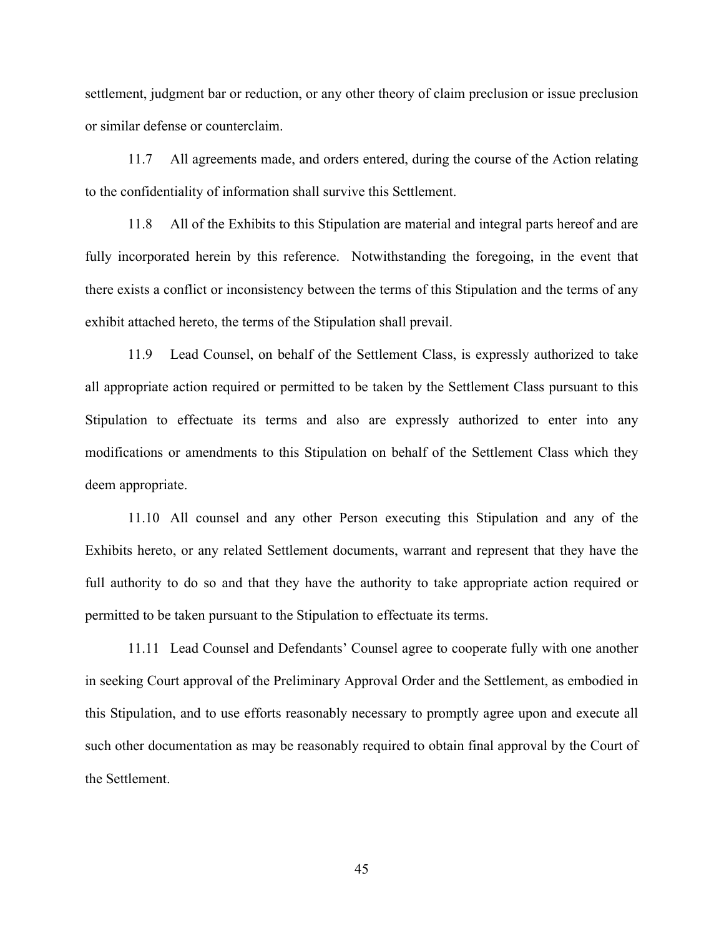settlement, judgment bar or reduction, or any other theory of claim preclusion or issue preclusion or similar defense or counterclaim. 11.7 All agreements made, and orders entered, during the course of the Action relating<br>11.7 All agreements made, and orders entered, during the course of the Action relating<br>11.7 All agreements made, and orders entered, du

to the confidentiality of information shall survive this Settlement.

11.8 All of the Exhibits to this Stipulation are material and integral parts hereof and are fully incorporated herein by this reference. Notwithstanding the foregoing, in the event that there exists a conflict or inconsistency between the terms of this Stipulation and the terms of any exhibit attached hereto, the terms of the Stipulation shall prevail.

11.9 Lead Counsel, on behalf of the Settlement Class, is expressly authorized to take all appropriate action required or permitted to be taken by the Settlement Class pursuant to this Stipulation to effectuate its terms and also are expressly authorized to enter into any modifications or amendments to this Stipulation on behalf of the Settlement Class which they deem appropriate.

11.10 All counsel and any other Person executing this Stipulation and any of the Exhibits hereto, or any related Settlement documents, warrant and represent that they have the full authority to do so and that they have the authority to take appropriate action required or permitted to be taken pursuant to the Stipulation to effectuate its terms.

11.11 Lead Counsel and Defendants' Counsel agree to cooperate fully with one another in seeking Court approval of the Preliminary Approval Order and the Settlement, as embodied in this Stipulation, and to use efforts reasonably necessary to promptly agree upon and execute all such other documentation as may be reasonably required to obtain final approval by the Court of the Settlement.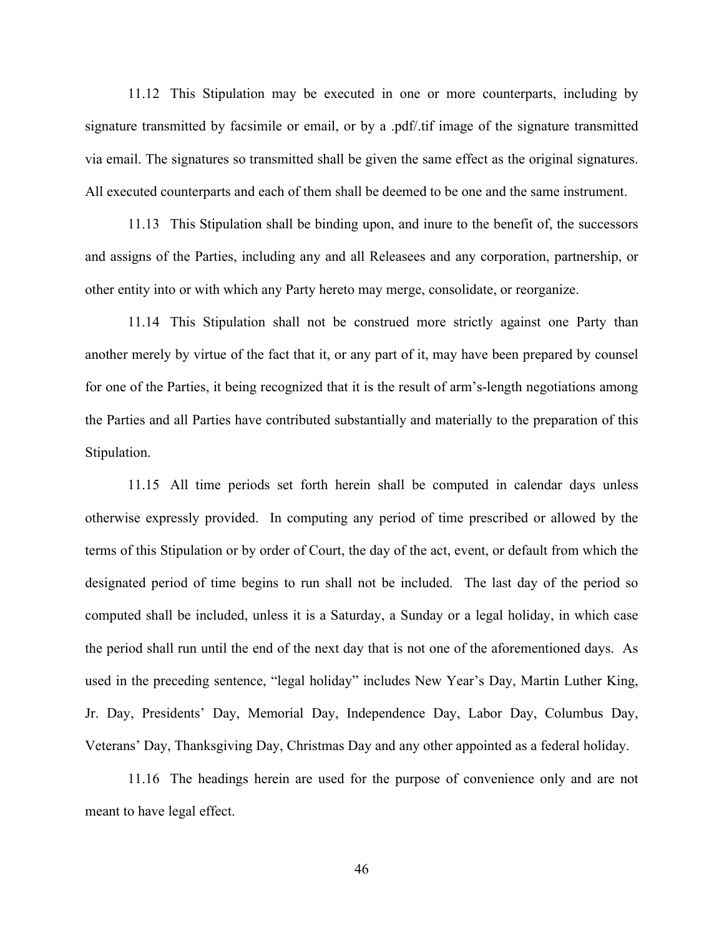11.12 This Stipulation may be executed in one or more counterparts, including by<br>the transmitted by facsimile or email, or by a .pdf/.tif image of the signature transmitted<br>iil. The signatures so transmitted shall be given signature transmitted by facsimile or email, or by a .pdf/.tif image of the signature transmitted via email. The signatures so transmitted shall be given the same effect as the original signatures. All executed counterparts and each of them shall be deemed to be one and the same instrument. 11.12 This Stipulation may be executed in one or more counterparts, including by<br>re transmitted by faesimile or email, or by a .pdf/.tif image of the signature transmitted<br>il. The signatures so transmitted shall be given t 11.12 This Stipulation may be executed in one or more counterparts, including by<br>
te transmitted by faesimile or email, or by a .pdf/.tif image of the signature transmitted<br>
iil. The signatures so transmitted shall be giv

and assigns of the Parties, including any and all Releasees and any corporation, partnership, or other entity into or with which any Party hereto may merge, consolidate, or reorganize.

another merely by virtue of the fact that it, or any part of it, may have been prepared by counsel for one of the Parties, it being recognized that it is the result of arm's-length negotiations among the Parties and all Parties have contributed substantially and materially to the preparation of this Stipulation.

11.15 All time periods set forth herein shall be computed in calendar days unless otherwise expressly provided. In computing any period of time prescribed or allowed by the terms of this Stipulation or by order of Court, the day of the act, event, or default from which the designated period of time begins to run shall not be included. The last day of the period so computed shall be included, unless it is a Saturday, a Sunday or a legal holiday, in which case the period shall run until the end of the next day that is not one of the aforementioned days. As used in the preceding sentence, "legal holiday" includes New Year's Day, Martin Luther King, Jr. Day, Presidents' Day, Memorial Day, Independence Day, Labor Day, Columbus Day, Veterans' Day, Thanksgiving Day, Christmas Day and any other appointed as a federal holiday.

11.16 The headings herein are used for the purpose of convenience only and are not meant to have legal effect.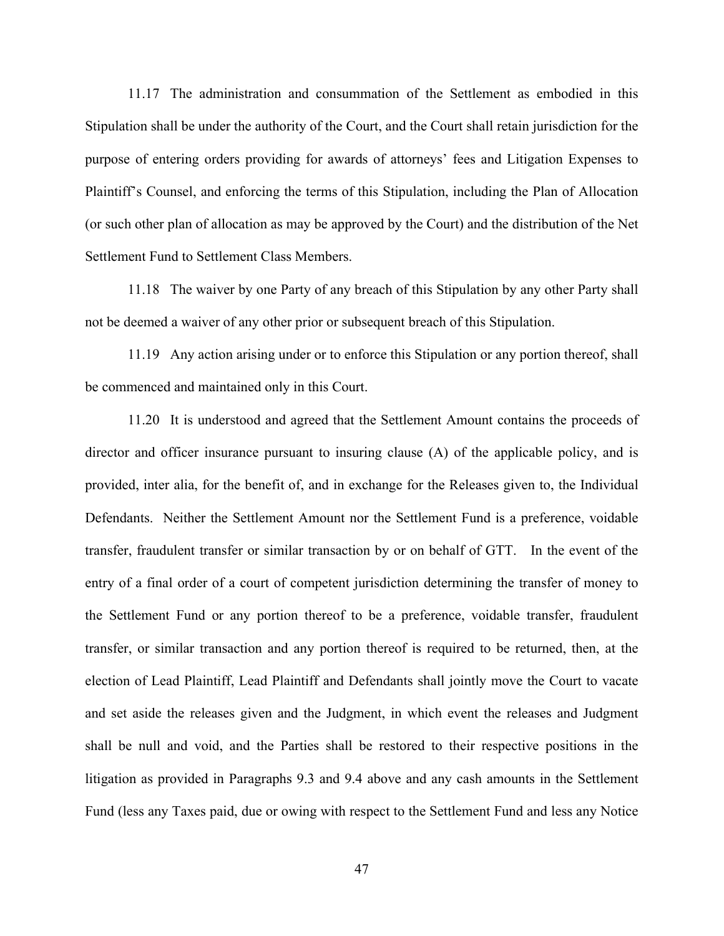11.17 The administration and consummation of the Settlement as embodied in this<br>tion shall be under the authority of the Court, and the Court shall retain jurisdiction for the<br>e of entering orders providing for awards of a Stipulation shall be under the authority of the Court, and the Court shall retain jurisdiction for the purpose of entering orders providing for awards of attorneys' fees and Litigation Expenses to Plaintiff's Counsel, and enforcing the terms of this Stipulation, including the Plan of Allocation (or such other plan of allocation as may be approved by the Court) and the distribution of the Net Settlement Fund to Settlement Class Members.

11.18 The waiver by one Party of any breach of this Stipulation by any other Party shall not be deemed a waiver of any other prior or subsequent breach of this Stipulation.

11.19 Any action arising under or to enforce this Stipulation or any portion thereof, shall be commenced and maintained only in this Court.

11.20 It is understood and agreed that the Settlement Amount contains the proceeds of director and officer insurance pursuant to insuring clause (A) of the applicable policy, and is provided, inter alia, for the benefit of, and in exchange for the Releases given to, the Individual Defendants. Neither the Settlement Amount nor the Settlement Fund is a preference, voidable transfer, fraudulent transfer or similar transaction by or on behalf of GTT. In the event of the entry of a final order of a court of competent jurisdiction determining the transfer of money to the Settlement Fund or any portion thereof to be a preference, voidable transfer, fraudulent transfer, or similar transaction and any portion thereof is required to be returned, then, at the election of Lead Plaintiff, Lead Plaintiff and Defendants shall jointly move the Court to vacate and set aside the releases given and the Judgment, in which event the releases and Judgment shall be null and void, and the Parties shall be restored to their respective positions in the litigation as provided in Paragraphs 9.3 and 9.4 above and any cash amounts in the Settlement Fund (less any Taxes paid, due or owing with respect to the Settlement Fund and less any Notice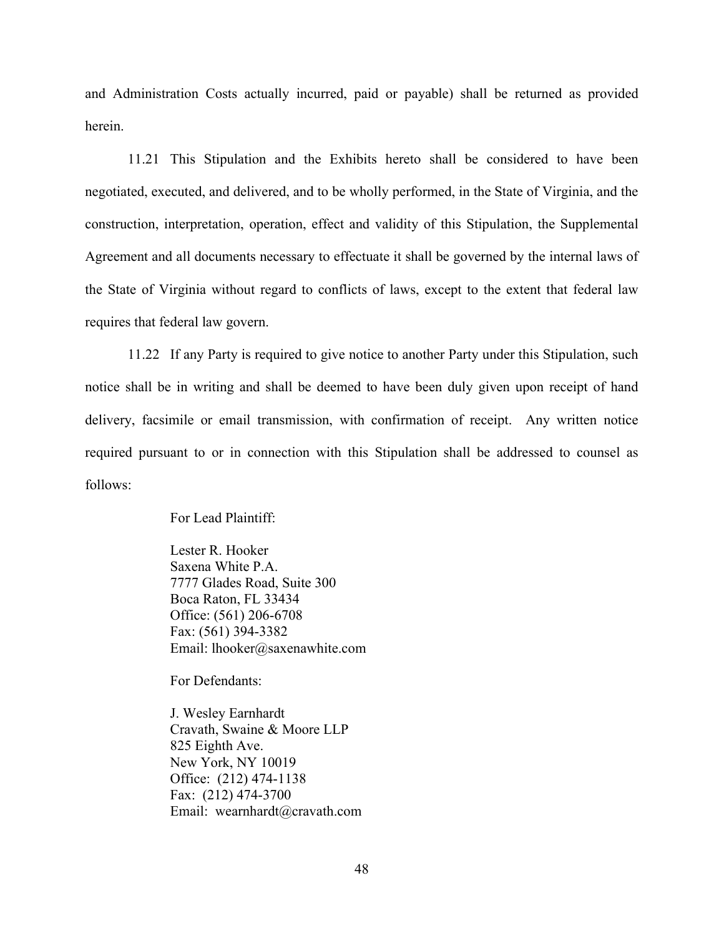and Administration Costs actually incurred, paid or payable) shall be returned as provided herein.

Iministration Costs actually incurred, paid or payable) shall be returned as provided<br>11.21 This Stipulation and the Exhibits hereto shall be considered to have been<br>ted, executed, and delivered, and to be wholly performed negotiated, executed, and delivered, and to be wholly performed, in the State of Virginia, and the construction, interpretation, operation, effect and validity of this Stipulation, the Supplemental Agreement and all documents necessary to effectuate it shall be governed by the internal laws of the State of Virginia without regard to conflicts of laws, except to the extent that federal law requires that federal law govern. Inition Costs actually incurred, paid or payable) shall be returned as provided<br>
11.21 This Stipulation and the Exhibits hereto shall be considered to have been<br>
ted, exceuted, and delivered, and to be wholly performed, in

notice shall be in writing and shall be deemed to have been duly given upon receipt of hand delivery, facsimile or email transmission, with confirmation of receipt. Any written notice required pursuant to or in connection with this Stipulation shall be addressed to counsel as follows:

For Lead Plaintiff:

Lester R. Hooker Saxena White P.A. 7777 Glades Road, Suite 300 Boca Raton, FL 33434 Office: (561) 206-6708 Fax: (561) 394-3382 Email: lhooker@saxenawhite.com

For Defendants:

J. Wesley Earnhardt Cravath, Swaine & Moore LLP 825 Eighth Ave. New York, NY 10019 Office: (212) 474-1138 Fax: (212) 474-3700 Email: wearnhardt@cravath.com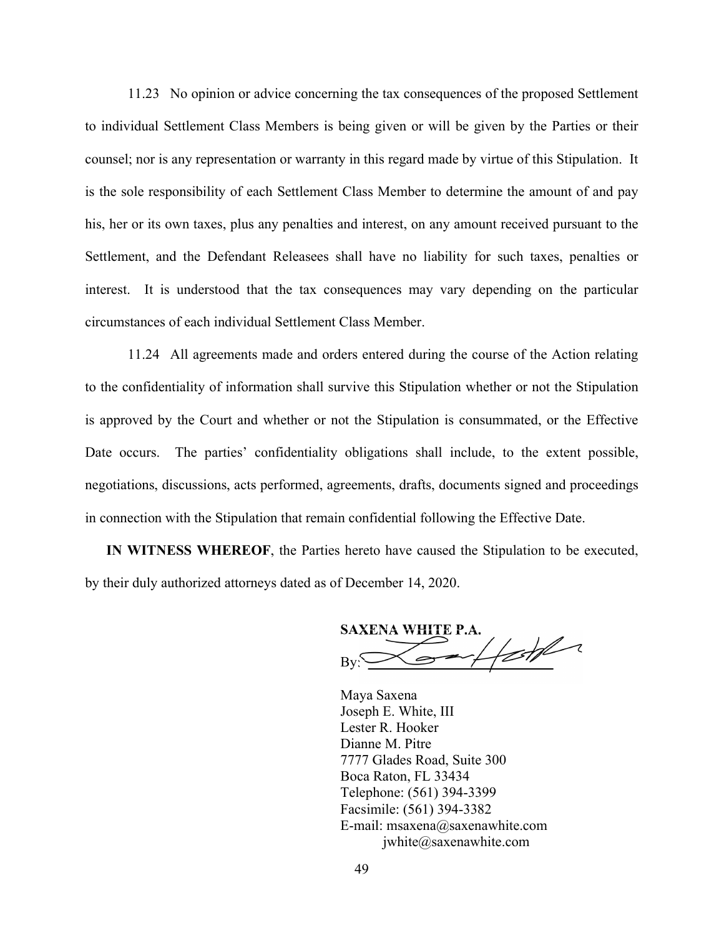11.23 No opinion or advice concerning the tax consequences of the proposed Settlement<br>
vidual Settlement Class Members is being given or will be given by the Parties or their<br>
; nor is any representation or warranty in thi to individual Settlement Class Members is being given or will be given by the Parties or their counsel; nor is any representation or warranty in this regard made by virtue of this Stipulation. It is the sole responsibility of each Settlement Class Member to determine the amount of and pay his, her or its own taxes, plus any penalties and interest, on any amount received pursuant to the Settlement, and the Defendant Releasees shall have no liability for such taxes, penalties or interest. It is understood that the tax consequences may vary depending on the particular circumstances of each individual Settlement Class Member.

11.24 All agreements made and orders entered during the course of the Action relating to the confidentiality of information shall survive this Stipulation whether or not the Stipulation is approved by the Court and whether or not the Stipulation is consummated, or the Effective Date occurs. The parties' confidentiality obligations shall include, to the extent possible, negotiations, discussions, acts performed, agreements, drafts, documents signed and proceedings in connection with the Stipulation that remain confidential following the Effective Date.

IN WITNESS WHEREOF, the Parties hereto have caused the Stipulation to be executed, by their duly authorized attorneys dated as of December 14, 2020.

SAXENA WHITE P.A.

Maya Saxena Joseph E. White, III Lester R. Hooker Dianne M. Pitre 7777 Glades Road, Suite 300 Boca Raton, FL 33434 Telephone: (561) 394-3399 Facsimile: (561) 394-3382 France Connuential Following the Enective Date.<br>
France Connection to be executed,<br>
France Connection 14, 2020.<br>
SAXENA WHITE P.A.<br>
By:<br>
Maya Saxena<br>
Joseph E. White, III<br>
Lester R. Hooker<br>
Dianne M. Pitre<br>
7777 Glades Roa jwhite@saxenawhite.com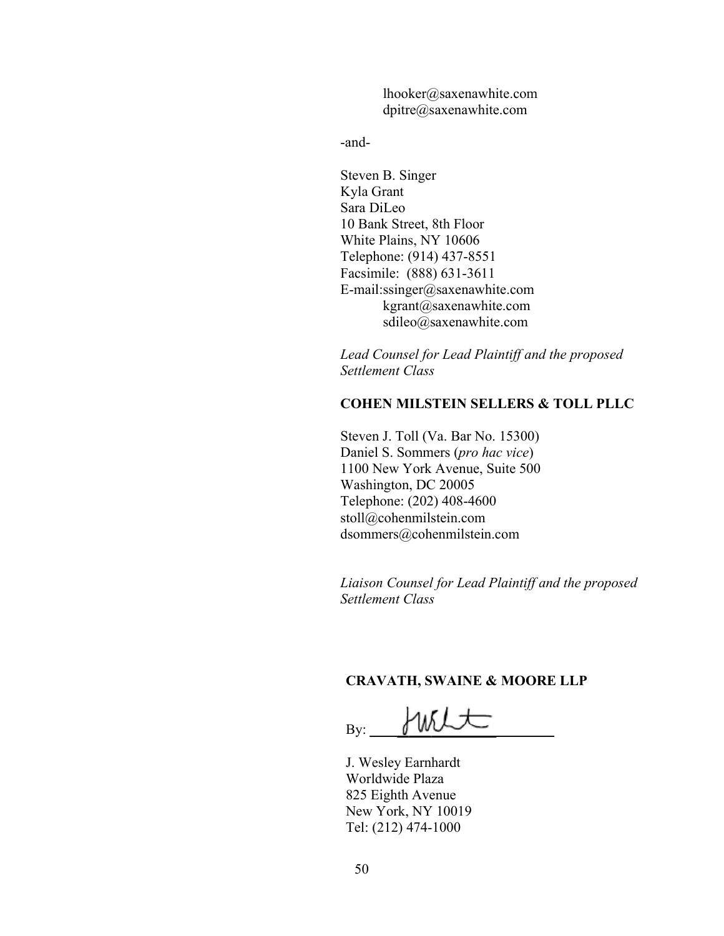lhooker@saxenawhite.com dpitre@saxenawhite.com

-and-

Steven B. Singer Kyla Grant Sara DiLeo 10 Bank Street, 8th Floor White Plains, NY 10606 Telephone: (914) 437-8551 Facsimile: (888) 631-3611 E-mail:ssinger@saxenawhite.com kgrant@saxenawhite.com sdileo@saxenawhite.com

Lead Counsel for Lead Plaintiff and the proposed Settlement Class

## COHEN MILSTEIN SELLERS & TOLL PLLC

Steven J. Toll (Va. Bar No. 15300) Daniel S. Sommers (pro hac vice) 1100 New York Avenue, Suite 500 Washington, DC 20005 Telephone: (202) 408-4600 stoll@cohenmilstein.com dsommers@cohenmilstein.com

Liaison Counsel for Lead Plaintiff and the proposed Settlement Class

### CRAVATH, SWAINE & MOORE LLP

 $B_{\rm y:}$  with

J. Wesley Earnhardt Worldwide Plaza 825 Eighth Avenue New York, NY 10019 Tel: (212) 474-1000